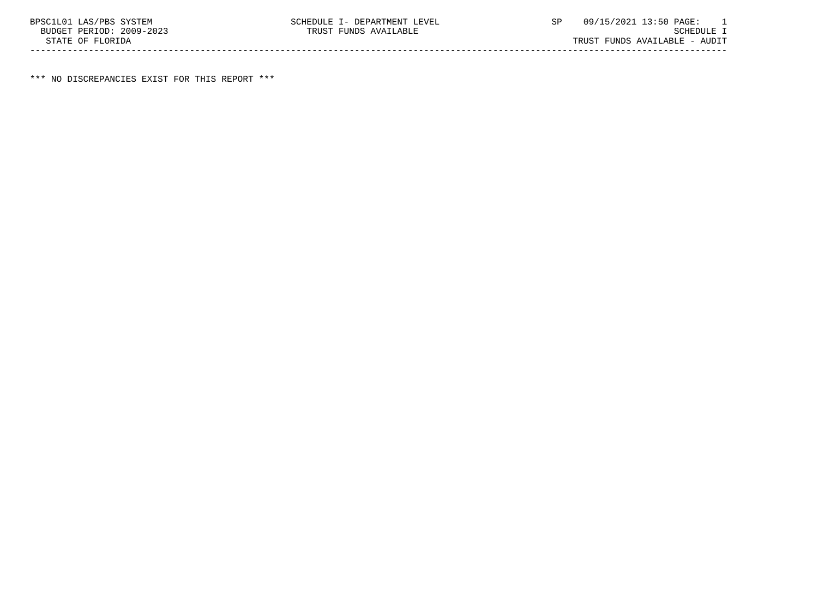\*\*\* NO DISCREPANCIES EXIST FOR THIS REPORT \*\*\*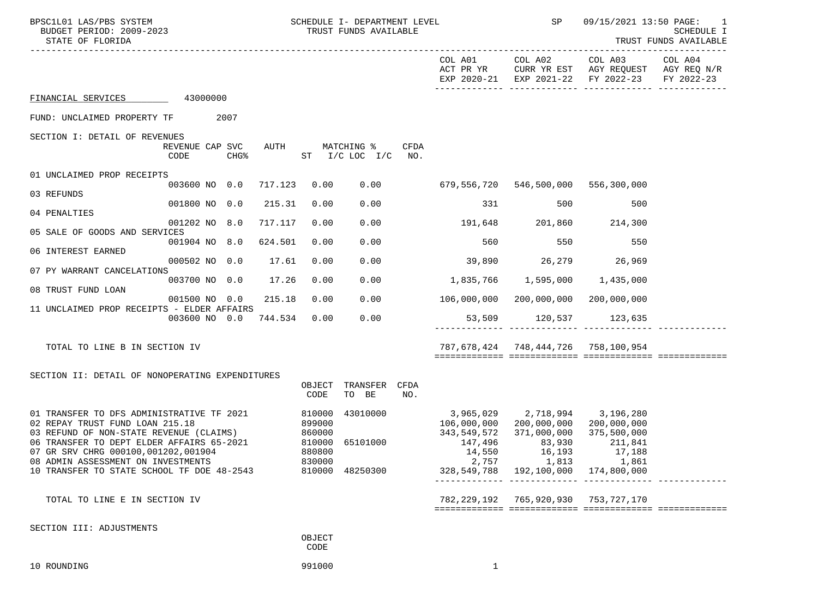| BPSC1L01 LAS/PBS SYSTEM<br>BUDGET PERIOD: 2009-2023<br>STATE OF FLORIDA                                                                                                                                                                                                                                |                         | SCHEDULE I- DEPARTMENT LEVEL<br>TRUST FUNDS AVAILABLE |                            |                                         |             |                                                                   |                                                                                                                        |                                                                                              | 09/15/2021 13:50 PAGE: 1<br>SCHEDULE I<br>TRUST FUNDS AVAILABLE |
|--------------------------------------------------------------------------------------------------------------------------------------------------------------------------------------------------------------------------------------------------------------------------------------------------------|-------------------------|-------------------------------------------------------|----------------------------|-----------------------------------------|-------------|-------------------------------------------------------------------|------------------------------------------------------------------------------------------------------------------------|----------------------------------------------------------------------------------------------|-----------------------------------------------------------------|
|                                                                                                                                                                                                                                                                                                        |                         |                                                       |                            |                                         |             | COL A01<br>ACT PR YR                                              |                                                                                                                        | COL A02 COL A03<br>CURR YR EST AGY REQUEST AGY REQ N/R<br>EXP 2020-21 EXP 2021-22 FY 2022-23 | COL A04<br>FY 2022-23                                           |
| FINANCIAL SERVICES 43000000                                                                                                                                                                                                                                                                            |                         |                                                       |                            |                                         |             |                                                                   |                                                                                                                        |                                                                                              |                                                                 |
| FUND: UNCLAIMED PROPERTY TF 2007                                                                                                                                                                                                                                                                       |                         |                                                       |                            |                                         |             |                                                                   |                                                                                                                        |                                                                                              |                                                                 |
| SECTION I: DETAIL OF REVENUES                                                                                                                                                                                                                                                                          | REVENUE CAP SVC<br>CODE | AUTH<br>CHG%                                          |                            | MATCHING %<br>ST $I/C$ LOC $I/C$ NO.    | CFDA        |                                                                   |                                                                                                                        |                                                                                              |                                                                 |
| 01 UNCLAIMED PROP RECEIPTS                                                                                                                                                                                                                                                                             |                         |                                                       |                            |                                         |             |                                                                   |                                                                                                                        |                                                                                              |                                                                 |
| 03 REFUNDS                                                                                                                                                                                                                                                                                             | 003600 NO 0.0           | 717.123                                               | 0.00                       |                                         | 0.00        |                                                                   | 679,556,720 546,500,000 556,300,000                                                                                    |                                                                                              |                                                                 |
| 04 PENALTIES                                                                                                                                                                                                                                                                                           | 001800 NO 0.0           | 215.31                                                | 0.00                       | 0.00                                    |             | 331                                                               | 500                                                                                                                    | 500                                                                                          |                                                                 |
| 05 SALE OF GOODS AND SERVICES                                                                                                                                                                                                                                                                          | 001202 NO 8.0           | 717.117                                               | 0.00                       | 0.00                                    |             | 191,648 201,860 214,300                                           |                                                                                                                        |                                                                                              |                                                                 |
| 06 INTEREST EARNED                                                                                                                                                                                                                                                                                     | 001904 NO 8.0           | 624.501                                               | 0.00                       | 0.00                                    |             | 560                                                               | 550                                                                                                                    | 550                                                                                          |                                                                 |
| 07 PY WARRANT CANCELATIONS                                                                                                                                                                                                                                                                             | 000502 NO 0.0           | 17.61                                                 | 0.00                       | 0.00                                    |             | 39,890 26,279 26,969                                              |                                                                                                                        |                                                                                              |                                                                 |
|                                                                                                                                                                                                                                                                                                        | 003700 NO 0.0           | 17.26                                                 | 0.00                       | 0.00                                    |             |                                                                   |                                                                                                                        |                                                                                              |                                                                 |
| 08 TRUST FUND LOAN                                                                                                                                                                                                                                                                                     | 001500 NO 0.0           | 215.18                                                | 0.00                       | 0.00                                    |             |                                                                   | 106,000,000 200,000,000 200,000,000                                                                                    |                                                                                              |                                                                 |
| 11 UNCLAIMED PROP RECEIPTS - ELDER AFFAIRS                                                                                                                                                                                                                                                             |                         | 003600 NO 0.0 744.534                                 | 0.00                       | 0.00                                    |             |                                                                   | 53,509 120,537 123,635                                                                                                 |                                                                                              |                                                                 |
| TOTAL TO LINE B IN SECTION IV                                                                                                                                                                                                                                                                          |                         |                                                       |                            |                                         |             |                                                                   | 787,678,424 748,444,726 758,100,954                                                                                    |                                                                                              |                                                                 |
| SECTION II: DETAIL OF NONOPERATING EXPENDITURES                                                                                                                                                                                                                                                        |                         |                                                       |                            |                                         |             |                                                                   |                                                                                                                        |                                                                                              |                                                                 |
|                                                                                                                                                                                                                                                                                                        |                         |                                                       | OBJECT<br>CODE             | TRANSFER<br>TO BE                       | CFDA<br>NO. |                                                                   |                                                                                                                        |                                                                                              |                                                                 |
| 01 TRANSFER TO DFS ADMINISTRATIVE TF 2021<br>02 REPAY TRUST FUND LOAN 215.18<br>03 REFUND OF NON-STATE REVENUE (CLAIMS) 860000<br>06 TRANSFER TO DEPT ELDER AFFAIRS 65-2021<br>07 GR SRV CHRG 000100,001202,001904<br>08 ADMIN ASSESSMENT ON INVESTMENTS<br>10 TRANSFER TO STATE SCHOOL TF DOE 48-2543 |                         | 810000<br>810000                                      | 899000<br>880800<br>830000 | 43010000<br>65101000<br>810000 48250300 |             | 3,965,029 2,718,994 3,196,280<br>343,549,572<br>147,496<br>14,550 | 106,000,000 200,000,000 200,000,000<br>371,000,000<br>83,930<br>16,193<br>2,757<br>328,549,788 192,100,000 174,800,000 | 375,500,000<br>211,841<br>17,188<br>1,813<br>1,861                                           |                                                                 |
| TOTAL TO LINE E IN SECTION IV                                                                                                                                                                                                                                                                          |                         |                                                       |                            |                                         |             |                                                                   | 782, 229, 192 765, 920, 930 753, 727, 170                                                                              |                                                                                              |                                                                 |
| SECTION III: ADJUSTMENTS                                                                                                                                                                                                                                                                               |                         |                                                       | OBJECT<br>CODE             |                                         |             |                                                                   |                                                                                                                        |                                                                                              |                                                                 |
| 10 ROUNDING                                                                                                                                                                                                                                                                                            |                         |                                                       | 991000                     |                                         |             | 1                                                                 |                                                                                                                        |                                                                                              |                                                                 |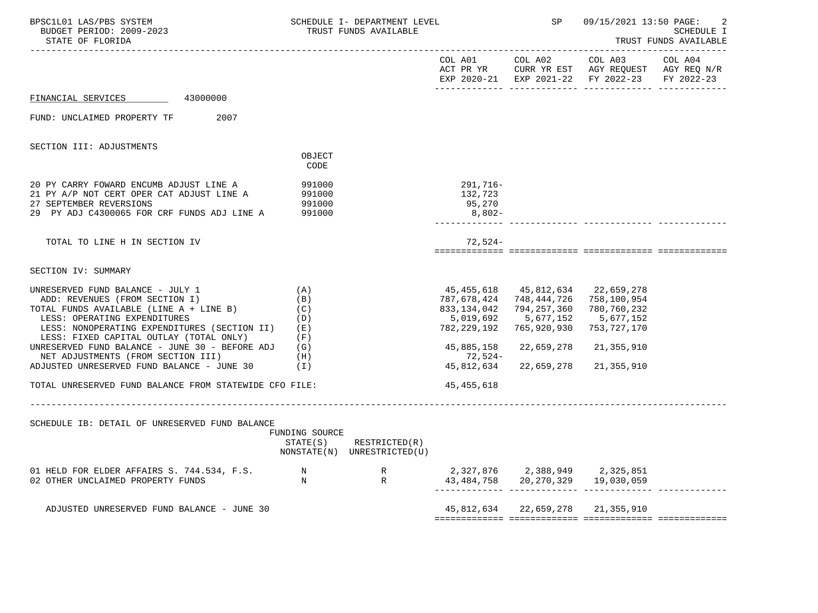| BPSC1L01 LAS/PBS SYSTEM<br>BUDGET PERIOD: 2009-2023<br>STATE OF FLORIDA                                                                                                                                                                                                                                                                                                                                                                  |                                                             | SCHEDULE I- DEPARTMENT LEVEL<br>TRUST FUNDS AVAILABLE |                                                                                                               | SP                                                                                                                                     | 09/15/2021 13:50 PAGE:                                              | <b>SCHEDULE I</b><br>TRUST FUNDS AVAILABLE |
|------------------------------------------------------------------------------------------------------------------------------------------------------------------------------------------------------------------------------------------------------------------------------------------------------------------------------------------------------------------------------------------------------------------------------------------|-------------------------------------------------------------|-------------------------------------------------------|---------------------------------------------------------------------------------------------------------------|----------------------------------------------------------------------------------------------------------------------------------------|---------------------------------------------------------------------|--------------------------------------------|
|                                                                                                                                                                                                                                                                                                                                                                                                                                          |                                                             |                                                       |                                                                                                               | COL A01 COL A02<br>ACT PR YR CURR YR EST AGY REQUEST AGY REQ N/R<br>EXP 2020-21 EXP 2021-22 FY 2022-23                                 | COL A03 COL A04                                                     | FY 2022-23                                 |
| 43000000<br>FINANCIAL SERVICES                                                                                                                                                                                                                                                                                                                                                                                                           |                                                             |                                                       |                                                                                                               |                                                                                                                                        |                                                                     |                                            |
| FUND: UNCLAIMED PROPERTY TF<br>2007                                                                                                                                                                                                                                                                                                                                                                                                      |                                                             |                                                       |                                                                                                               |                                                                                                                                        |                                                                     |                                            |
| SECTION III: ADJUSTMENTS                                                                                                                                                                                                                                                                                                                                                                                                                 |                                                             |                                                       |                                                                                                               |                                                                                                                                        |                                                                     |                                            |
|                                                                                                                                                                                                                                                                                                                                                                                                                                          | OBJECT<br>CODE                                              |                                                       |                                                                                                               |                                                                                                                                        |                                                                     |                                            |
| 20 PY CARRY FOWARD ENCUMB ADJUST LINE A<br>21 PY A/P NOT CERT OPER CAT ADJUST LINE A<br>27 SEPTEMBER REVERSIONS<br>29 PY ADJ C4300065 FOR CRF FUNDS ADJ LINE A                                                                                                                                                                                                                                                                           | 991000<br>991000<br>991000<br>991000                        |                                                       | 291,716-<br>132,723<br>95,270<br>8,802-                                                                       |                                                                                                                                        |                                                                     |                                            |
| TOTAL TO LINE H IN SECTION IV                                                                                                                                                                                                                                                                                                                                                                                                            |                                                             |                                                       | $72,524-$                                                                                                     |                                                                                                                                        |                                                                     |                                            |
| SECTION IV: SUMMARY                                                                                                                                                                                                                                                                                                                                                                                                                      |                                                             |                                                       |                                                                                                               |                                                                                                                                        |                                                                     |                                            |
| UNRESERVED FUND BALANCE - JULY 1<br>ADD: REVENUES (FROM SECTION I)<br>TOTAL FUNDS AVAILABLE (LINE A + LINE B)<br>LESS: OPERATING EXPENDITURES<br>LESS: NONOPERATING EXPENDITURES (SECTION II)<br>LESS: FIXED CAPITAL OUTLAY (TOTAL ONLY)<br>UNRESERVED FUND BALANCE - JUNE 30 - BEFORE ADJ<br>NET ADJUSTMENTS (FROM SECTION III)<br>ADJUSTED UNRESERVED FUND BALANCE - JUNE 30<br>TOTAL UNRESERVED FUND BALANCE FROM STATEWIDE CFO FILE: | (A)<br>(B)<br>(C)<br>(D)<br>(E)<br>(F)<br>(G)<br>(H)<br>(1) |                                                       | 787,678,424<br>833,134,042<br>5,019,692<br>782,229,192<br>45,885,158<br>72,524-<br>45,812,634<br>45, 455, 618 | 45,455,618 45,812,634 22,659,278<br>748, 444, 726 758, 100, 954<br>794,257,360<br>5,677,152<br>765,920,930<br>22,659,278<br>22,659,278 | 780,760,232<br>5,677,152<br>753,727,170<br>21,355,910<br>21,355,910 |                                            |
| SCHEDULE IB: DETAIL OF UNRESERVED FUND BALANCE                                                                                                                                                                                                                                                                                                                                                                                           | FUNDING SOURCE<br>STATE(S)                                  | RESTRICTED(R)<br>NONSTATE(N) UNRESTRICTED(U)          |                                                                                                               |                                                                                                                                        |                                                                     |                                            |
|                                                                                                                                                                                                                                                                                                                                                                                                                                          |                                                             |                                                       |                                                                                                               | 2,327,876 2,388,949 2,325,851<br>43, 484, 758 20, 270, 329 19, 030, 059                                                                |                                                                     |                                            |
| ADJUSTED UNRESERVED FUND BALANCE - JUNE 30                                                                                                                                                                                                                                                                                                                                                                                               |                                                             |                                                       |                                                                                                               | 45,812,634 22,659,278 21,355,910                                                                                                       |                                                                     |                                            |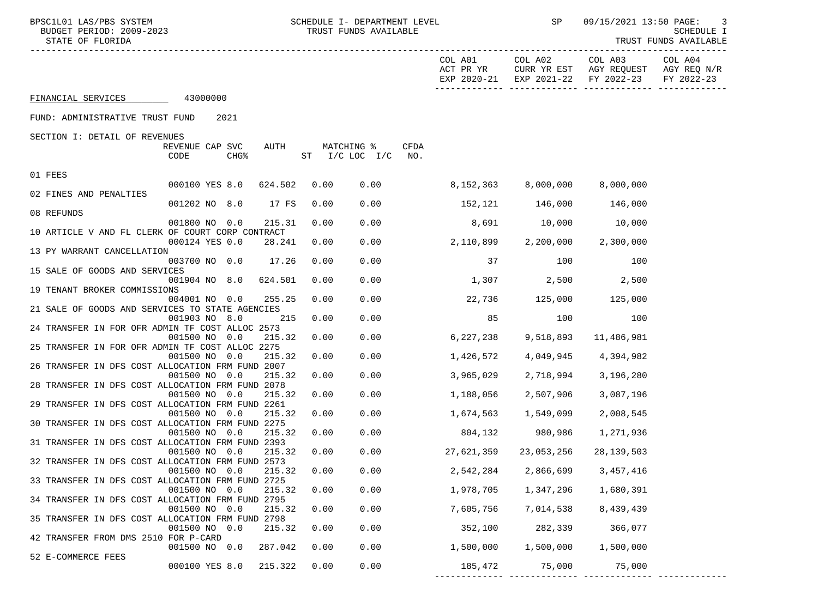|                    |          |  | COL A01<br>ACT PR YR | COL A02<br>EXP 2020-21 EXP 2021-22 FY 2022-23 | COL A03<br>CURR YR EST AGY REOUEST | COL A04<br>AGY REO N/R<br>FY 2022-23 |
|--------------------|----------|--|----------------------|-----------------------------------------------|------------------------------------|--------------------------------------|
| FINANCIAL SERVICES | 43000000 |  |                      |                                               |                                    |                                      |

FUND: ADMINISTRATIVE TRUST FUND 2021

SECTION I: DETAIL OF REVENUES

|                                                  | REVENUE CAP SVC |                  | AUTH    |    | MATCHING %      |      | CFDA |                         |                        |              |  |
|--------------------------------------------------|-----------------|------------------|---------|----|-----------------|------|------|-------------------------|------------------------|--------------|--|
|                                                  | CODE            | CHG <sup>8</sup> |         | ST | $I/C$ LOC $I/C$ |      | NO.  |                         |                        |              |  |
| 01 FEES                                          |                 |                  |         |    |                 |      |      |                         |                        |              |  |
|                                                  | 000100 YES 8.0  |                  | 624.502 |    | 0.00            | 0.00 |      | $8,152,363$ $8,000,000$ |                        | 8,000,000    |  |
| 02 FINES AND PENALTIES                           |                 |                  |         |    |                 |      |      |                         |                        |              |  |
|                                                  | 001202 NO 8.0   |                  | 17 FS   |    | 0.00            | 0.00 |      | 152,121 146,000         |                        | 146,000      |  |
| 08 REFUNDS                                       |                 |                  |         |    |                 |      |      |                         |                        |              |  |
|                                                  | 001800 NO 0.0   |                  | 215.31  |    | 0.00            | 0.00 |      | 8,691                   | 10,000                 | 10,000       |  |
| 10 ARTICLE V AND FL CLERK OF COURT CORP CONTRACT |                 |                  |         |    |                 |      |      |                         |                        |              |  |
|                                                  | 000124 YES 0.0  |                  | 28.241  |    | 0.00            | 0.00 |      | 2,110,899               | 2,200,000              | 2,300,000    |  |
| 13 PY WARRANT CANCELLATION                       |                 |                  |         |    |                 |      |      |                         |                        |              |  |
|                                                  | 003700 NO 0.0   |                  | 17.26   |    | 0.00            | 0.00 |      | 37                      | 100                    | 100          |  |
| 15 SALE OF GOODS AND SERVICES                    |                 |                  |         |    |                 |      |      |                         |                        |              |  |
|                                                  | 001904 NO 8.0   |                  | 624.501 |    | 0.00            | 0.00 |      | 1,307                   | 2,500                  | 2,500        |  |
| 19 TENANT BROKER COMMISSIONS                     | 004001 NO 0.0   |                  | 255.25  |    | 0.00            | 0.00 |      |                         | 22,736 125,000 125,000 |              |  |
| 21 SALE OF GOODS AND SERVICES TO STATE AGENCIES  |                 |                  |         |    |                 |      |      |                         |                        |              |  |
|                                                  | 001903 NO 8.0   |                  | 215     |    | 0.00            | 0.00 |      | 85                      | 100                    | 100          |  |
| 24 TRANSFER IN FOR OFR ADMIN TF COST ALLOC 2573  |                 |                  |         |    |                 |      |      |                         |                        |              |  |
|                                                  | 001500 NO 0.0   |                  | 215.32  |    | 0.00            | 0.00 |      | 6,227,238               | 9,518,893              | 11,486,981   |  |
| 25 TRANSFER IN FOR OFR ADMIN TF COST ALLOC 2275  |                 |                  |         |    |                 |      |      |                         |                        |              |  |
|                                                  | 001500 NO 0.0   |                  | 215.32  |    | 0.00            | 0.00 |      | 1,426,572               | 4,049,945              | 4,394,982    |  |
| 26 TRANSFER IN DFS COST ALLOCATION FRM FUND 2007 |                 |                  |         |    |                 |      |      |                         |                        |              |  |
|                                                  | 001500 NO 0.0   |                  | 215.32  |    | 0.00            | 0.00 |      | 3,965,029               | 2,718,994              | 3,196,280    |  |
| 28 TRANSFER IN DFS COST ALLOCATION FRM FUND 2078 |                 |                  |         |    |                 |      |      |                         |                        |              |  |
|                                                  | 001500 NO 0.0   |                  | 215.32  |    | 0.00            | 0.00 |      | 1,188,056               | 2,507,906              | 3,087,196    |  |
| 29 TRANSFER IN DFS COST ALLOCATION FRM FUND 2261 |                 |                  |         |    |                 |      |      |                         |                        |              |  |
| 30 TRANSFER IN DFS COST ALLOCATION FRM FUND 2275 | 001500 NO 0.0   |                  | 215.32  |    | 0.00            | 0.00 |      | 1,674,563               | 1,549,099              | 2,008,545    |  |
|                                                  | 001500 NO 0.0   |                  | 215.32  |    | 0.00            | 0.00 |      | 804,132                 | 980,986                | 1,271,936    |  |
| 31 TRANSFER IN DFS COST ALLOCATION FRM FUND 2393 |                 |                  |         |    |                 |      |      |                         |                        |              |  |
|                                                  | 001500 NO 0.0   |                  | 215.32  |    | 0.00            | 0.00 |      | 27,621,359              | 23,053,256             | 28, 139, 503 |  |
| 32 TRANSFER IN DFS COST ALLOCATION FRM FUND 2573 |                 |                  |         |    |                 |      |      |                         |                        |              |  |
|                                                  | 001500 NO 0.0   |                  | 215.32  |    | 0.00            | 0.00 |      | 2,542,284               | 2,866,699              | 3,457,416    |  |
| 33 TRANSFER IN DFS COST ALLOCATION FRM FUND 2725 |                 |                  |         |    |                 |      |      |                         |                        |              |  |
|                                                  | 001500 NO 0.0   |                  | 215.32  |    | 0.00            | 0.00 |      | 1,978,705               | 1,347,296              | 1,680,391    |  |
| 34 TRANSFER IN DFS COST ALLOCATION FRM FUND 2795 |                 |                  |         |    |                 |      |      |                         |                        |              |  |
|                                                  | 001500 NO 0.0   |                  | 215.32  |    | 0.00            | 0.00 |      | 7,605,756               | 7,014,538              | 8,439,439    |  |
| 35 TRANSFER IN DFS COST ALLOCATION FRM FUND 2798 |                 |                  |         |    |                 |      |      |                         |                        |              |  |
|                                                  | 001500 NO 0.0   |                  | 215.32  |    | 0.00            | 0.00 |      | 352,100                 | 282,339                | 366,077      |  |
| 42 TRANSFER FROM DMS 2510 FOR P-CARD             | 001500 NO 0.0   |                  | 287.042 |    | 0.00            | 0.00 |      | 1,500,000               | 1,500,000              | 1,500,000    |  |
| 52 E-COMMERCE FEES                               |                 |                  |         |    |                 |      |      |                         |                        |              |  |
|                                                  | 000100 YES 8.0  |                  | 215.322 |    | 0.00            | 0.00 |      |                         | 185,472 75,000 75,000  |              |  |
|                                                  |                 |                  |         |    |                 |      |      |                         |                        |              |  |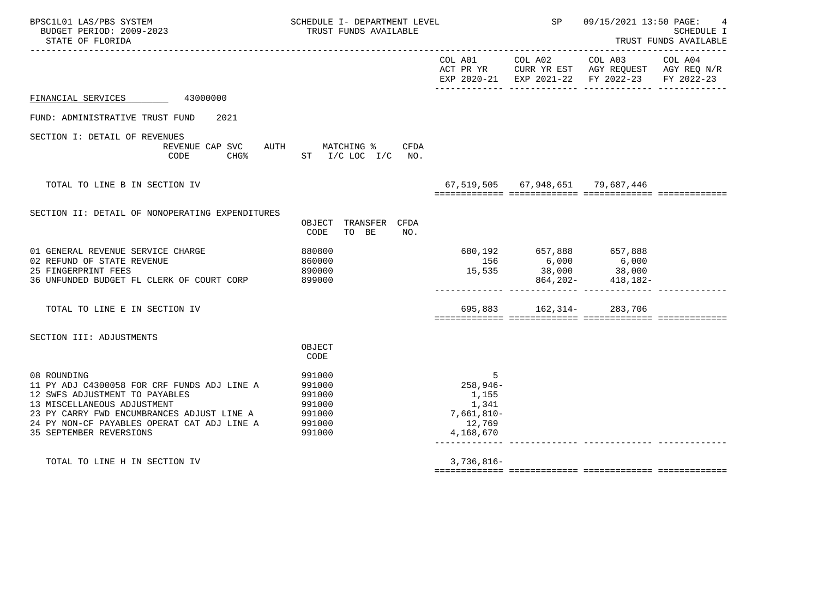| BPSC1L01 LAS/PBS SYSTEM<br>BUDGET PERIOD: 2009-2023<br>STATE OF FLORIDA                                                                                                                                                                                    | SCHEDULE I- DEPARTMENT LEVEL<br>TRUST FUNDS AVAILABLE              |                                                                      | SP                                                                 | 09/15/2021 13:50 PAGE:<br>SCHEDULE I<br>TRUST FUNDS AVAILABLE                                          |                       |  |
|------------------------------------------------------------------------------------------------------------------------------------------------------------------------------------------------------------------------------------------------------------|--------------------------------------------------------------------|----------------------------------------------------------------------|--------------------------------------------------------------------|--------------------------------------------------------------------------------------------------------|-----------------------|--|
|                                                                                                                                                                                                                                                            |                                                                    | COL A01                                                              |                                                                    | COL A02 COL A03<br>ACT PR YR CURR YR EST AGY REQUEST AGY REQ N/R<br>EXP 2020-21 EXP 2021-22 FY 2022-23 | COL A04<br>FY 2022-23 |  |
| FINANCIAL SERVICES 43000000                                                                                                                                                                                                                                |                                                                    |                                                                      |                                                                    |                                                                                                        |                       |  |
| FUND: ADMINISTRATIVE TRUST FUND<br>2021                                                                                                                                                                                                                    |                                                                    |                                                                      |                                                                    |                                                                                                        |                       |  |
| SECTION I: DETAIL OF REVENUES<br>REVENUE CAP SVC AUTH MATCHING %<br>CODE                                                                                                                                                                                   | CFDA<br>CHG <sup>2</sup> ST I/C LOC I/C NO.                        |                                                                      |                                                                    |                                                                                                        |                       |  |
| TOTAL TO LINE B IN SECTION IV                                                                                                                                                                                                                              |                                                                    |                                                                      | 67,519,505 67,948,651 79,687,446                                   |                                                                                                        |                       |  |
| SECTION II: DETAIL OF NONOPERATING EXPENDITURES                                                                                                                                                                                                            | OBJECT TRANSFER CFDA<br>TO BE<br>CODE<br>NO.                       |                                                                      |                                                                    |                                                                                                        |                       |  |
| 01 GENERAL REVENUE SERVICE CHARGE<br>02 REFUND OF STATE REVENUE<br>25 FINGERPRINT FEES<br>36 UNFUNDED BUDGET FL CLERK OF COURT CORP                                                                                                                        | 880800<br>860000<br>890000<br>899000                               |                                                                      | 680,192 657,888 657,888<br>156 6,000 6,000<br>15,535 38,000 38,000 | 864, 202- 418, 182-                                                                                    |                       |  |
| TOTAL TO LINE E IN SECTION IV                                                                                                                                                                                                                              |                                                                    |                                                                      | 695,883 162,314- 283,706                                           |                                                                                                        |                       |  |
| SECTION III: ADJUSTMENTS                                                                                                                                                                                                                                   | OBJECT<br>CODE                                                     |                                                                      |                                                                    |                                                                                                        |                       |  |
| 08 ROUNDING<br>11 PY ADJ C4300058 FOR CRF FUNDS ADJ LINE A<br>12 SWFS ADJUSTMENT TO PAYABLES<br>13 MISCELLANEOUS ADJUSTMENT<br>23 PY CARRY FWD ENCUMBRANCES ADJUST LINE A<br>24 PY NON-CF PAYABLES OPERAT CAT ADJ LINE A<br><b>35 SEPTEMBER REVERSIONS</b> | 991000<br>991000<br>991000<br>991000<br>991000<br>991000<br>991000 | 5<br>258,946-<br>1,155<br>1,341<br>7,661,810-<br>12,769<br>4,168,670 |                                                                    |                                                                                                        |                       |  |
| TOTAL TO LINE H IN SECTION IV                                                                                                                                                                                                                              |                                                                    | $3,736,816-$                                                         |                                                                    |                                                                                                        |                       |  |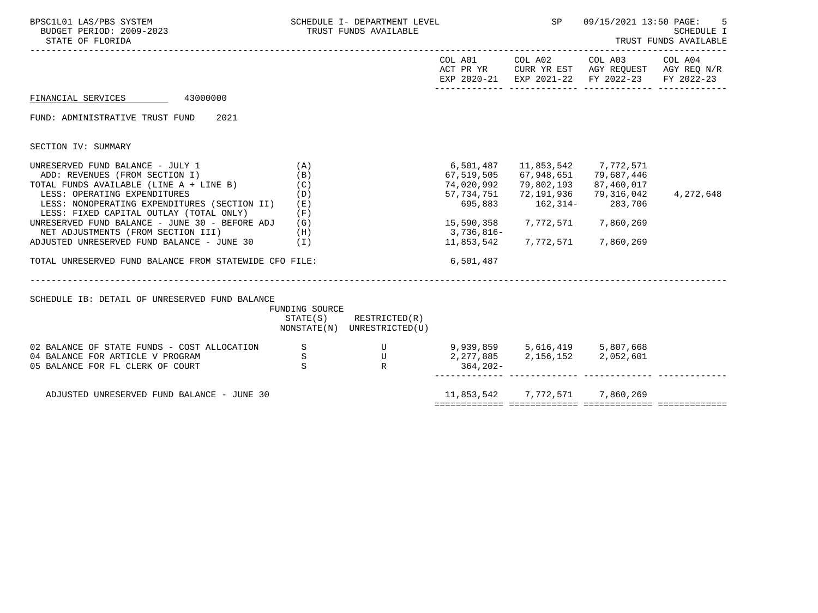| BPSC1L01 LAS/PBS SYSTEM<br>BUDGET PERIOD: 2009-2023<br>STATE OF FLORIDA<br>-----------------------------                                                                                                                                           |                            | SCHEDULE I- DEPARTMENT LEVEL<br>TRUST FUNDS AVAILABLE                            |                                                                |                                                                      | SP 09/15/2021 13:50 PAGE:                                                                                              | SCHEDULE I<br>TRUST FUNDS AVAILABLE |
|----------------------------------------------------------------------------------------------------------------------------------------------------------------------------------------------------------------------------------------------------|----------------------------|----------------------------------------------------------------------------------|----------------------------------------------------------------|----------------------------------------------------------------------|------------------------------------------------------------------------------------------------------------------------|-------------------------------------|
|                                                                                                                                                                                                                                                    |                            |                                                                                  |                                                                |                                                                      | COL A01 COL A02 COL A03 COL A04<br>ACT PR YR CURR YR EST AGY REQUEST AGY REQ N/R<br>EXP 2020-21 EXP 2021-22 FY 2022-23 | FY 2022-23                          |
| FINANCIAL SERVICES 43000000                                                                                                                                                                                                                        |                            |                                                                                  |                                                                |                                                                      |                                                                                                                        |                                     |
| FUND: ADMINISTRATIVE TRUST FUND<br>2021                                                                                                                                                                                                            |                            |                                                                                  |                                                                |                                                                      |                                                                                                                        |                                     |
| SECTION IV: SUMMARY                                                                                                                                                                                                                                |                            |                                                                                  |                                                                |                                                                      |                                                                                                                        |                                     |
| UNRESERVED FUND BALANCE - JULY $1$ (A)<br>ADD: REVENUES (FROM SECTION I)<br>TOTAL FUNDS AVAILABLE (LINE A + LINE B)<br>LESS: OPERATING EXPENDITURES<br>LESS: NONOPERATING EXPENDITURES (SECTION II) (E)<br>LESS: FIXED CAPITAL OUTLAY (TOTAL ONLY) | (B)<br>(C)<br>(D)<br>(F)   |                                                                                  | 6,501,487<br>67,519,505<br>74,020,992<br>57,734,751<br>695,883 | 11,853,542 7,772,571<br>67,948,651 79,687,446<br>162, 314 - 283, 706 | 79,802,193 87,460,017<br>72,191,936 79,316,042                                                                         | 4,272,648                           |
| UNRESERVED FUND BALANCE - JUNE 30 - BEFORE ADJ (G)<br>NET ADJUSTMENTS (FROM SECTION III)<br>ADJUSTED UNRESERVED FUND BALANCE - JUNE 30 (I)                                                                                                         | (H)                        |                                                                                  | 3,736,816-                                                     | 15,590,358 7,772,571 7,860,269<br>11,853,542 7,772,571 7,860,269     |                                                                                                                        |                                     |
| TOTAL UNRESERVED FUND BALANCE FROM STATEWIDE CFO FILE:                                                                                                                                                                                             |                            |                                                                                  | 6,501,487                                                      |                                                                      |                                                                                                                        |                                     |
| SCHEDULE IB: DETAIL OF UNRESERVED FUND BALANCE                                                                                                                                                                                                     | FUNDING SOURCE             | $STATE(S)$ RESTRICTED $(R)$<br>NONSTATE(N) UNRESTRICTED(U)                       |                                                                |                                                                      |                                                                                                                        |                                     |
| 02 BALANCE OF STATE FUNDS - COST ALLOCATION<br>04 BALANCE FOR ARTICLE V PROGRAM<br>05 BALANCE FOR FL CLERK OF COURT                                                                                                                                | $\mathbf S$<br>$\,$ S<br>S | U 9,939,859 5,616,419 5,807,668<br>U 2,277,885 2,156,152 2,052,601<br>R 364,202- |                                                                |                                                                      |                                                                                                                        |                                     |
| ADJUSTED UNRESERVED FUND BALANCE - JUNE 30                                                                                                                                                                                                         |                            |                                                                                  |                                                                | 11,853,542 7,772,571 7,860,269                                       |                                                                                                                        |                                     |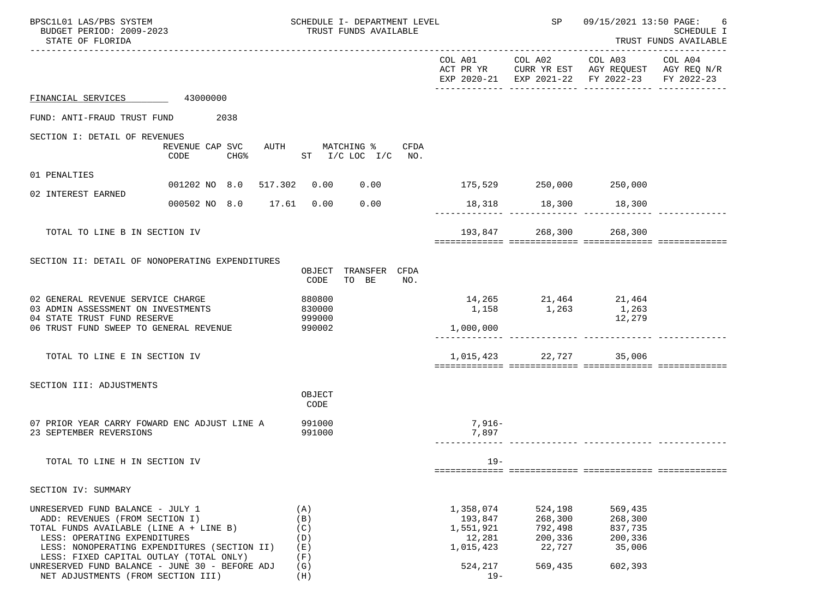| BPSC1L01 LAS/PBS SYSTEM<br>BUDGET PERIOD: 2009-2023<br>STATE OF FLORIDA                                                                                                                                                                                                                                                          | SCHEDULE I- DEPARTMENT LEVEL<br>TRUST FUNDS AVAILABLE   |                                                                               | SP                                                            | 09/15/2021 13:50 PAGE:                                                                                                            | 6<br>SCHEDULE I<br>TRUST FUNDS AVAILABLE |
|----------------------------------------------------------------------------------------------------------------------------------------------------------------------------------------------------------------------------------------------------------------------------------------------------------------------------------|---------------------------------------------------------|-------------------------------------------------------------------------------|---------------------------------------------------------------|-----------------------------------------------------------------------------------------------------------------------------------|------------------------------------------|
|                                                                                                                                                                                                                                                                                                                                  |                                                         |                                                                               |                                                               | COL A01 COL A02 COL A03 COL A04<br>ACT PR YR CURR YR EST AGY REQUEST AGY REQ N/R<br>EXP 2020-21 EXP 2021-22 FY 2022-23 FY 2022-23 |                                          |
| FINANCIAL SERVICES 43000000                                                                                                                                                                                                                                                                                                      |                                                         |                                                                               |                                                               |                                                                                                                                   |                                          |
| FUND: ANTI-FRAUD TRUST FUND 2038                                                                                                                                                                                                                                                                                                 |                                                         |                                                                               |                                                               |                                                                                                                                   |                                          |
| SECTION I: DETAIL OF REVENUES<br>REVENUE CAP SVC<br>CODE<br>CHG <sup>o</sup>                                                                                                                                                                                                                                                     | AUTH MATCHING % CFDA<br>ST I/C LOC I/C NO.              |                                                                               |                                                               |                                                                                                                                   |                                          |
| 01 PENALTIES                                                                                                                                                                                                                                                                                                                     |                                                         |                                                                               |                                                               |                                                                                                                                   |                                          |
| 02 INTEREST EARNED                                                                                                                                                                                                                                                                                                               | 001202 NO 8.0 517.302 0.00 0.00 175,529 250,000 250,000 |                                                                               |                                                               |                                                                                                                                   |                                          |
| 000502 NO 8.0 17.61 0.00                                                                                                                                                                                                                                                                                                         | 0.00                                                    |                                                                               | 18,318 18,300 18,300                                          |                                                                                                                                   |                                          |
| TOTAL TO LINE B IN SECTION IV                                                                                                                                                                                                                                                                                                    |                                                         |                                                                               | 193,847 268,300 268,300                                       |                                                                                                                                   |                                          |
| SECTION II: DETAIL OF NONOPERATING EXPENDITURES                                                                                                                                                                                                                                                                                  | TRANSFER CFDA<br>OBJECT<br>TO BE<br>CODE<br>NO.         |                                                                               |                                                               |                                                                                                                                   |                                          |
| 02 GENERAL REVENUE SERVICE CHARGE<br>03 ADMIN ASSESSMENT ON INVESTMENTS<br>04 STATE TRUST FUND RESERVE<br>06 TRUST FUND SWEEP TO GENERAL REVENUE                                                                                                                                                                                 | 880800<br>830000<br>999000<br>990002                    | 1,000,000                                                                     | 14, 265 21, 464 21, 464<br>1,158 1,263                        | 1,263<br>12,279                                                                                                                   |                                          |
| TOTAL TO LINE E IN SECTION IV                                                                                                                                                                                                                                                                                                    |                                                         |                                                                               | 1,015,423 22,727 35,006                                       |                                                                                                                                   |                                          |
| SECTION III: ADJUSTMENTS                                                                                                                                                                                                                                                                                                         | OBJECT<br>CODE                                          |                                                                               |                                                               |                                                                                                                                   |                                          |
| 07 PRIOR YEAR CARRY FOWARD ENC ADJUST LINE A<br>23 SEPTEMBER REVERSIONS                                                                                                                                                                                                                                                          | 991000<br>991000                                        | $7,916-$<br>7,897                                                             |                                                               | -------------- ------------- --------                                                                                             |                                          |
| TOTAL TO LINE H IN SECTION IV                                                                                                                                                                                                                                                                                                    |                                                         | $19 -$                                                                        |                                                               |                                                                                                                                   |                                          |
| SECTION IV: SUMMARY                                                                                                                                                                                                                                                                                                              |                                                         |                                                                               |                                                               |                                                                                                                                   |                                          |
| UNRESERVED FUND BALANCE - JULY 1<br>ADD: REVENUES (FROM SECTION I)<br>TOTAL FUNDS AVAILABLE (LINE A + LINE B)<br>LESS: OPERATING EXPENDITURES<br>LESS: NONOPERATING EXPENDITURES (SECTION II)<br>LESS: FIXED CAPITAL OUTLAY (TOTAL ONLY)<br>UNRESERVED FUND BALANCE - JUNE 30 - BEFORE ADJ<br>NET ADJUSTMENTS (FROM SECTION III) | (A)<br>(B)<br>(C)<br>(D)<br>(E)<br>(F)<br>(G)<br>(H)    | 1,358,074<br>193,847<br>1,551,921<br>12,281<br>1,015,423<br>524,217<br>$19 -$ | 524,198<br>268,300<br>792,498<br>200,336<br>22,727<br>569,435 | 569,435<br>268,300<br>837,735<br>200,336<br>35,006<br>602,393                                                                     |                                          |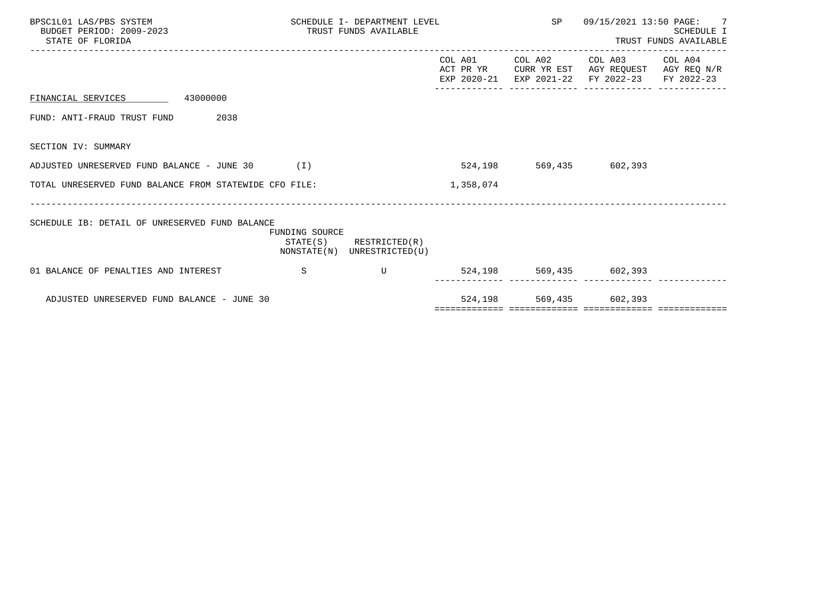| BPSC1L01 LAS/PBS SYSTEM<br>BUDGET PERIOD: 2009-2023<br>STATE OF FLORIDA | SCHEDULE I- DEPARTMENT LEVEL<br>TRUST FUNDS AVAILABLE |                                                            |                          | SP                             | 09/15/2021 13:50 PAGE: 7<br>SCHEDULE I<br>TRUST FUNDS AVAILABLE |                       |  |
|-------------------------------------------------------------------------|-------------------------------------------------------|------------------------------------------------------------|--------------------------|--------------------------------|-----------------------------------------------------------------|-----------------------|--|
|                                                                         |                                                       |                                                            | ACT PR YR<br>EXP 2020-21 | COL A01 COL A02<br>EXP 2021-22 | COL A03<br>CURR YR EST AGY REQUEST AGY REQ N/R<br>FY 2022-23    | COL A04<br>FY 2022-23 |  |
| FINANCIAL SERVICES 43000000                                             |                                                       |                                                            |                          |                                |                                                                 |                       |  |
| 2038<br>FUND: ANTI-FRAUD TRUST FUND                                     |                                                       |                                                            |                          |                                |                                                                 |                       |  |
| SECTION IV: SUMMARY                                                     |                                                       |                                                            |                          |                                |                                                                 |                       |  |
| ADJUSTED UNRESERVED FUND BALANCE - JUNE 30                              | (1)                                                   |                                                            | 524,198                  |                                | 569,435 602,393                                                 |                       |  |
| TOTAL UNRESERVED FUND BALANCE FROM STATEWIDE CFO FILE:                  |                                                       |                                                            | 1,358,074                |                                |                                                                 |                       |  |
| SCHEDULE IB: DETAIL OF UNRESERVED FUND BALANCE                          | FUNDING SOURCE                                        | $STATE(S)$ RESTRICTED $(R)$<br>NONSTATE(N) UNRESTRICTED(U) |                          |                                |                                                                 |                       |  |
| 01 BALANCE OF PENALTIES AND INTEREST                                    | S                                                     | $\mathbf{U}$                                               |                          |                                | 524,198 569,435 602,393                                         |                       |  |
| ADJUSTED UNRESERVED FUND BALANCE - JUNE 30                              |                                                       |                                                            |                          | 524,198 569,435 602,393        |                                                                 |                       |  |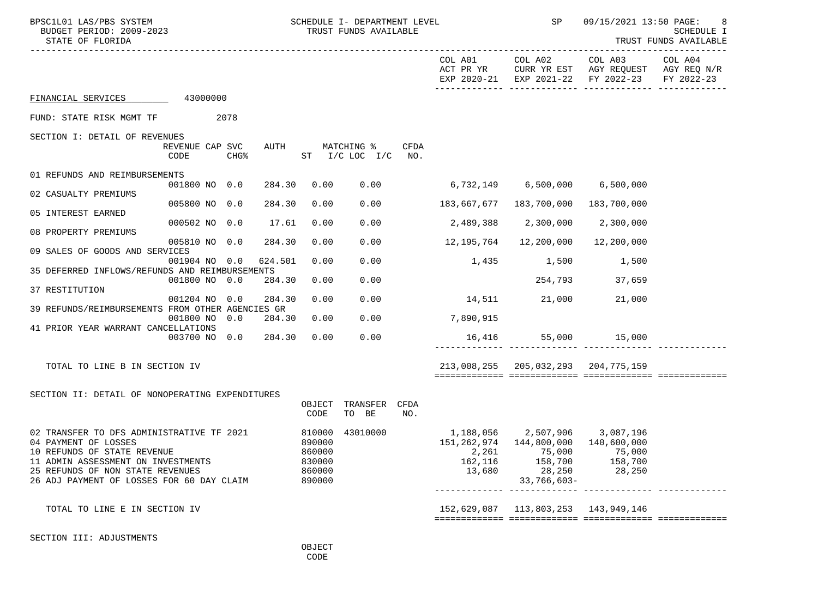| BPSC1L01 LAS/PBS SYSTEM<br>BUDGET PERIOD: 2009-2023<br>STATE OF FLORIDA                                                                                                                                                 |                         |                  |         |                                                          | SCHEDULE I- DEPARTMENT LEVEL<br>TRUST FUNDS AVAILABLE |      |                            | SP                                           | 09/15/2021 13:50 PAGE:<br>8<br>SCHEDULE I<br>TRUST FUNDS AVAILABLE                   |                       |
|-------------------------------------------------------------------------------------------------------------------------------------------------------------------------------------------------------------------------|-------------------------|------------------|---------|----------------------------------------------------------|-------------------------------------------------------|------|----------------------------|----------------------------------------------|--------------------------------------------------------------------------------------|-----------------------|
|                                                                                                                                                                                                                         |                         |                  |         |                                                          |                                                       |      | COL A01<br>ACT PR YR       | COL A02                                      | COL A03<br>CURR YR EST AGY REQUEST AGY REQ N/R<br>EXP 2020-21 EXP 2021-22 FY 2022-23 | COL A04<br>FY 2022-23 |
| FINANCIAL SERVICES 43000000                                                                                                                                                                                             |                         |                  |         |                                                          |                                                       |      |                            |                                              |                                                                                      |                       |
| FUND: STATE RISK MGMT TF                                                                                                                                                                                                | 2078                    |                  |         |                                                          |                                                       |      |                            |                                              |                                                                                      |                       |
| SECTION I: DETAIL OF REVENUES                                                                                                                                                                                           | REVENUE CAP SVC<br>CODE | CHG <sup>8</sup> | AUTH    |                                                          | MATCHING %<br>ST I/C LOC I/C NO.                      | CFDA |                            |                                              |                                                                                      |                       |
| 01 REFUNDS AND REIMBURSEMENTS                                                                                                                                                                                           | 001800 NO 0.0           |                  | 284.30  | 0.00                                                     | 0.00                                                  |      |                            |                                              |                                                                                      |                       |
| 02 CASUALTY PREMIUMS                                                                                                                                                                                                    | 005800 NO 0.0           |                  | 284.30  | 0.00                                                     | 0.00                                                  |      |                            |                                              |                                                                                      |                       |
| 05 INTEREST EARNED                                                                                                                                                                                                      | 000502 NO 0.0           |                  | 17.61   | 0.00                                                     | 0.00                                                  |      |                            | 2,489,388 2,300,000 2,300,000                |                                                                                      |                       |
| 08 PROPERTY PREMIUMS                                                                                                                                                                                                    |                         |                  | 284.30  | 0.00                                                     | 0.00                                                  |      |                            | 12,200,000                                   |                                                                                      |                       |
| 09 SALES OF GOODS AND SERVICES                                                                                                                                                                                          | 005810 NO 0.0           |                  |         |                                                          |                                                       |      | 12,195,764                 |                                              | 12,200,000                                                                           |                       |
| 35 DEFERRED INFLOWS/REFUNDS AND REIMBURSEMENTS                                                                                                                                                                          | 001904 NO 0.0           |                  | 624.501 | 0.00                                                     | 0.00                                                  |      |                            | 1,435 1,500                                  | 1,500                                                                                |                       |
| 37 RESTITUTION                                                                                                                                                                                                          | 001800 NO 0.0           |                  | 284.30  | 0.00                                                     | 0.00                                                  |      |                            | 254,793                                      | 37,659                                                                               |                       |
|                                                                                                                                                                                                                         | 001204 NO               | 0.0              | 284.30  | 0.00                                                     | 0.00                                                  |      |                            | 14,511 21,000 21,000                         |                                                                                      |                       |
| 39 REFUNDS/REIMBURSEMENTS FROM OTHER AGENCIES GR                                                                                                                                                                        | 001800 NO 0.0           |                  | 284.30  | 0.00                                                     | 0.00                                                  |      | 7,890,915                  |                                              |                                                                                      |                       |
| 41 PRIOR YEAR WARRANT CANCELLATIONS                                                                                                                                                                                     | 003700 NO 0.0           |                  | 284.30  | 0.00                                                     | 0.00                                                  |      |                            | 16,416 55,000 15,000                         |                                                                                      |                       |
|                                                                                                                                                                                                                         |                         |                  |         |                                                          |                                                       |      |                            |                                              |                                                                                      |                       |
| TOTAL TO LINE B IN SECTION IV                                                                                                                                                                                           |                         |                  |         |                                                          |                                                       |      |                            | 213,008,255 205,032,293 204,775,159          |                                                                                      |                       |
|                                                                                                                                                                                                                         |                         |                  |         |                                                          |                                                       |      |                            |                                              |                                                                                      |                       |
| SECTION II: DETAIL OF NONOPERATING EXPENDITURES                                                                                                                                                                         |                         |                  |         | OBJECT<br>CODE                                           | TRANSFER CFDA<br>TO BE                                | NO.  |                            |                                              |                                                                                      |                       |
| 02 TRANSFER TO DFS ADMINISTRATIVE TF 2021<br>04 PAYMENT OF LOSSES<br>10 REFUNDS OF STATE REVENUE<br>11 ADMIN ASSESSMENT ON INVESTMENTS<br>25 REFUNDS OF NON STATE REVENUES<br>26 ADJ PAYMENT OF LOSSES FOR 60 DAY CLAIM |                         |                  |         | 810000<br>890000<br>860000<br>830000<br>860000<br>890000 | 43010000                                              |      | 2,261<br>162,116<br>13,680 | 75,000<br>158,700<br>28,250<br>$33,766,603-$ | 75,000<br>158,700<br>28,250                                                          |                       |
| TOTAL TO LINE E IN SECTION IV                                                                                                                                                                                           |                         |                  |         |                                                          |                                                       |      |                            | 152,629,087   113,803,253   143,949,146      |                                                                                      |                       |
| SECTION III: ADJUSTMENTS                                                                                                                                                                                                |                         |                  |         | OBJECT                                                   |                                                       |      |                            |                                              |                                                                                      |                       |

**CODE**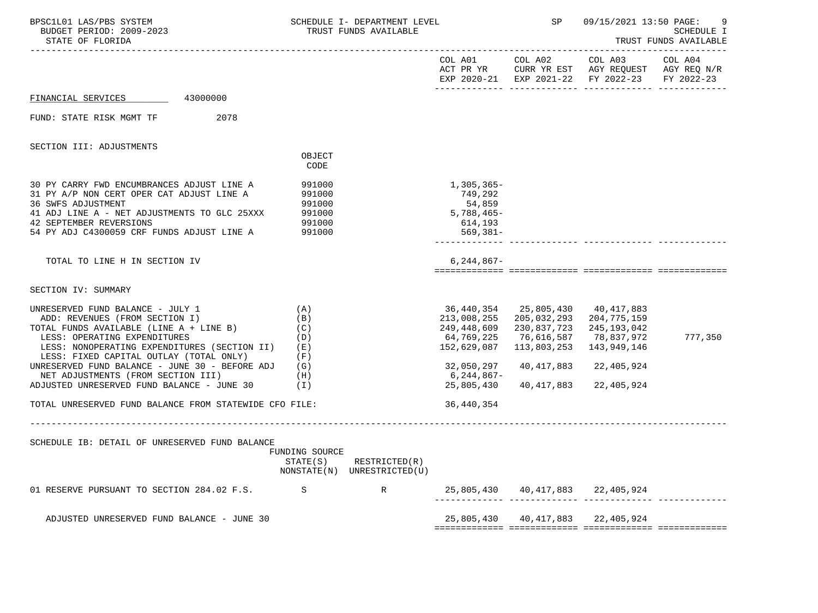| BPSC1L01 LAS/PBS SYSTEM<br>BUDGET PERIOD: 2009-2023<br>STATE OF FLORIDA                                                                                                                                                                                                                           |                                                                      | SCHEDULE I- DEPARTMENT LEVEL<br>TRUST FUNDS AVAILABLE |                                                                       | SP                                                                                                                    | 09/15/2021 13:50 PAGE:                                                                         | SCHEDULE I<br>TRUST FUNDS AVAILABLE |
|---------------------------------------------------------------------------------------------------------------------------------------------------------------------------------------------------------------------------------------------------------------------------------------------------|----------------------------------------------------------------------|-------------------------------------------------------|-----------------------------------------------------------------------|-----------------------------------------------------------------------------------------------------------------------|------------------------------------------------------------------------------------------------|-------------------------------------|
|                                                                                                                                                                                                                                                                                                   |                                                                      |                                                       |                                                                       | COL A01 COL A02                                                                                                       | COL A03<br>ACT PR YR CURR YR EST AGY REQUEST AGY REQ N/R<br>EXP 2020-21 EXP 2021-22 FY 2022-23 | COL A04<br>FY 2022-23               |
| 43000000<br>FINANCIAL SERVICES                                                                                                                                                                                                                                                                    |                                                                      |                                                       |                                                                       |                                                                                                                       |                                                                                                |                                     |
| FUND: STATE RISK MGMT TF<br>2078                                                                                                                                                                                                                                                                  |                                                                      |                                                       |                                                                       |                                                                                                                       |                                                                                                |                                     |
| SECTION III: ADJUSTMENTS                                                                                                                                                                                                                                                                          |                                                                      |                                                       |                                                                       |                                                                                                                       |                                                                                                |                                     |
|                                                                                                                                                                                                                                                                                                   | OBJECT<br>CODE                                                       |                                                       |                                                                       |                                                                                                                       |                                                                                                |                                     |
| 30 PY CARRY FWD ENCUMBRANCES ADJUST LINE A<br>31 PY A/P NON CERT OPER CAT ADJUST LINE A<br>36 SWFS ADJUSTMENT<br>41 ADJ LINE A - NET ADJUSTMENTS TO GLC 25XXX<br>42 SEPTEMBER REVERSIONS<br>54 PY ADJ C4300059 CRF FUNDS ADJUST LINE A                                                            | 991000<br>991000<br>991000<br>991000<br>991000<br>991000             |                                                       | 1,305,365-<br>749,292<br>54,859<br>5,788,465-<br>614,193<br>569,381-  |                                                                                                                       |                                                                                                |                                     |
| TOTAL TO LINE H IN SECTION IV                                                                                                                                                                                                                                                                     |                                                                      |                                                       | $6.244.867 -$                                                         |                                                                                                                       |                                                                                                |                                     |
| SECTION IV: SUMMARY                                                                                                                                                                                                                                                                               |                                                                      |                                                       |                                                                       |                                                                                                                       |                                                                                                |                                     |
| UNRESERVED FUND BALANCE - JULY 1<br>ADD: REVENUES (FROM SECTION I)<br>TOTAL FUNDS AVAILABLE (LINE $A + LINE B$ ) (C)<br>LESS: OPERATING EXPENDITURES<br>LESS: NONOPERATING EXPENDITURES (SECTION II)<br>LESS: FIXED CAPITAL OUTLAY (TOTAL ONLY)<br>UNRESERVED FUND BALANCE - JUNE 30 - BEFORE ADJ | (A)<br>(B)<br>(D)<br>( E )<br>(F)<br>(G)                             |                                                       | 213,008,255<br>249,448,609<br>64,769,225<br>152,629,087<br>32,050,297 | 36,440,354 25,805,430 40,417,883<br>205,032,293 204,775,159<br>230,837,723<br>76,616,587<br>113,803,253<br>40,417,883 | 245,193,042<br>78,837,972<br>143,949,146<br>22,405,924                                         | 777,350                             |
| NET ADJUSTMENTS (FROM SECTION III)<br>ADJUSTED UNRESERVED FUND BALANCE - JUNE 30                                                                                                                                                                                                                  | (H)<br>(1)                                                           |                                                       | 6,244,867-<br>25,805,430                                              | 40,417,883 22,405,924                                                                                                 |                                                                                                |                                     |
| TOTAL UNRESERVED FUND BALANCE FROM STATEWIDE CFO FILE:                                                                                                                                                                                                                                            |                                                                      |                                                       | 36,440,354                                                            |                                                                                                                       |                                                                                                |                                     |
| SCHEDULE IB: DETAIL OF UNRESERVED FUND BALANCE                                                                                                                                                                                                                                                    | _______________________<br>FUNDING SOURCE<br>STATE(S)<br>NONSTATE(N) | RESTRICTED(R)<br>UNRESTRICTED(U)                      |                                                                       |                                                                                                                       |                                                                                                |                                     |
| 01 RESERVE PURSUANT TO SECTION 284.02 F.S.                                                                                                                                                                                                                                                        | S                                                                    | R                                                     |                                                                       | 25,805,430 40,417,883 22,405,924                                                                                      |                                                                                                |                                     |
| ADJUSTED UNRESERVED FUND BALANCE - JUNE 30                                                                                                                                                                                                                                                        |                                                                      |                                                       | 25,805,430                                                            | 40,417,883                                                                                                            | 22,405,924                                                                                     |                                     |
|                                                                                                                                                                                                                                                                                                   |                                                                      |                                                       |                                                                       |                                                                                                                       |                                                                                                |                                     |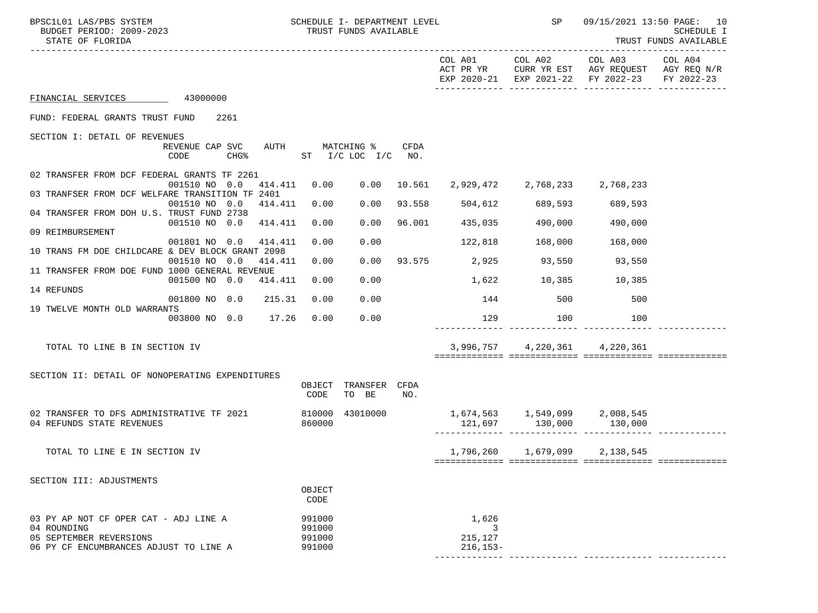| BPSC1L01 LAS/PBS SYSTEM<br>BUDGET PERIOD: 2009-2023<br>STATE OF FLORIDA       |                         |      |         |                  |                                       | SCHEDULE I- DEPARTMENT LEVEL<br>TRUST FUNDS AVAILABLE |                         | SP                            | 09/15/2021 13:50 PAGE: 10<br><b>SCHEDULE I</b><br>TRUST FUNDS AVAILABLE                                |                       |  |
|-------------------------------------------------------------------------------|-------------------------|------|---------|------------------|---------------------------------------|-------------------------------------------------------|-------------------------|-------------------------------|--------------------------------------------------------------------------------------------------------|-----------------------|--|
|                                                                               |                         |      |         |                  |                                       |                                                       | COL A01                 |                               | COL A02 COL A03<br>ACT PR YR CURR YR EST AGY REQUEST AGY REQ N/R<br>EXP 2020-21 EXP 2021-22 FY 2022-23 | COL A04<br>FY 2022-23 |  |
| FINANCIAL SERVICES 43000000                                                   |                         |      |         |                  |                                       |                                                       |                         |                               |                                                                                                        |                       |  |
| FUND: FEDERAL GRANTS TRUST FUND 2261                                          |                         |      |         |                  |                                       |                                                       |                         |                               |                                                                                                        |                       |  |
| SECTION I: DETAIL OF REVENUES                                                 |                         |      |         |                  |                                       |                                                       |                         |                               |                                                                                                        |                       |  |
|                                                                               | REVENUE CAP SVC<br>CODE | CHG% |         |                  | AUTH MATCHING %<br>ST I/C LOC I/C NO. | CFDA                                                  |                         |                               |                                                                                                        |                       |  |
| 02 TRANSFER FROM DCF FEDERAL GRANTS TF 2261                                   | 001510 NO 0.0           |      | 414.411 | 0.00             |                                       | 0.00 10.561                                           |                         | 2,929,472 2,768,233 2,768,233 |                                                                                                        |                       |  |
| 03 TRANFSER FROM DCF WELFARE TRANSITION TF 2401                               |                         |      |         |                  |                                       |                                                       |                         |                               |                                                                                                        |                       |  |
| 04 TRANSFER FROM DOH U.S. TRUST FUND 2738                                     | 001510 NO 0.0 414.411   |      |         | 0.00             | 0.00                                  | 93.558                                                | 504,612                 | 689,593                       | 689,593                                                                                                |                       |  |
|                                                                               | 001510 NO 0.0 414.411   |      |         | 0.00             | 0.00                                  | 96.001                                                | 435,035                 | 490,000                       | 490,000                                                                                                |                       |  |
| 09 REIMBURSEMENT                                                              | 001801 NO 0.0           |      | 414.411 | 0.00             | 0.00                                  |                                                       | 122,818                 | 168,000                       | 168,000                                                                                                |                       |  |
| 10 TRANS FM DOE CHILDCARE & DEV BLOCK GRANT 2098                              |                         |      |         |                  |                                       |                                                       |                         |                               |                                                                                                        |                       |  |
|                                                                               | 001510 NO 0.0           |      | 414.411 | 0.00             | 0.00                                  |                                                       | 93.575 2,925 93,550     |                               | 93,550                                                                                                 |                       |  |
| 11 TRANSFER FROM DOE FUND 1000 GENERAL REVENUE                                | 001500 NO 0.0 414.411   |      |         | 0.00             | 0.00                                  |                                                       |                         | 1,622 10,385 10,385           |                                                                                                        |                       |  |
| 14 REFUNDS                                                                    |                         |      |         |                  |                                       |                                                       |                         |                               |                                                                                                        |                       |  |
| 19 TWELVE MONTH OLD WARRANTS                                                  | 001800 NO 0.0           |      | 215.31  | 0.00             | 0.00                                  |                                                       | 144                     | 500                           | 500                                                                                                    |                       |  |
|                                                                               | 003800 NO 0.0 17.26     |      |         | 0.00             | 0.00                                  |                                                       | 129                     | 100                           | 100                                                                                                    |                       |  |
| TOTAL TO LINE B IN SECTION IV                                                 |                         |      |         |                  |                                       |                                                       |                         | 3,996,757 4,220,361 4,220,361 |                                                                                                        |                       |  |
|                                                                               |                         |      |         |                  |                                       |                                                       |                         |                               |                                                                                                        |                       |  |
| SECTION II: DETAIL OF NONOPERATING EXPENDITURES                               |                         |      |         | OBJECT<br>CODE   | TRANSFER CFDA<br>TO BE                | NO.                                                   |                         |                               |                                                                                                        |                       |  |
|                                                                               |                         |      |         |                  |                                       |                                                       |                         |                               |                                                                                                        |                       |  |
| 02 TRANSFER TO DFS ADMINISTRATIVE TF 2021 810000<br>04 REFUNDS STATE REVENUES |                         |      |         | 860000           | 43010000                              |                                                       |                         |                               |                                                                                                        |                       |  |
| TOTAL TO LINE E IN SECTION IV                                                 |                         |      |         |                  |                                       |                                                       |                         | 1,796,260 1,679,099 2,138,545 |                                                                                                        |                       |  |
|                                                                               |                         |      |         |                  |                                       |                                                       |                         |                               |                                                                                                        |                       |  |
| SECTION III: ADJUSTMENTS                                                      |                         |      |         |                  |                                       |                                                       |                         |                               |                                                                                                        |                       |  |
|                                                                               |                         |      |         | OBJECT<br>CODE   |                                       |                                                       |                         |                               |                                                                                                        |                       |  |
| 03 PY AP NOT CF OPER CAT - ADJ LINE A                                         |                         |      |         | 991000           |                                       |                                                       | 1,626                   |                               |                                                                                                        |                       |  |
| 04 ROUNDING                                                                   |                         |      |         | 991000           |                                       |                                                       |                         |                               |                                                                                                        |                       |  |
| 05 SEPTEMBER REVERSIONS<br>06 PY CF ENCUMBRANCES ADJUST TO LINE A             |                         |      |         | 991000<br>991000 |                                       |                                                       | 215,127<br>$216, 153 -$ |                               |                                                                                                        |                       |  |
|                                                                               |                         |      |         |                  |                                       |                                                       |                         |                               |                                                                                                        |                       |  |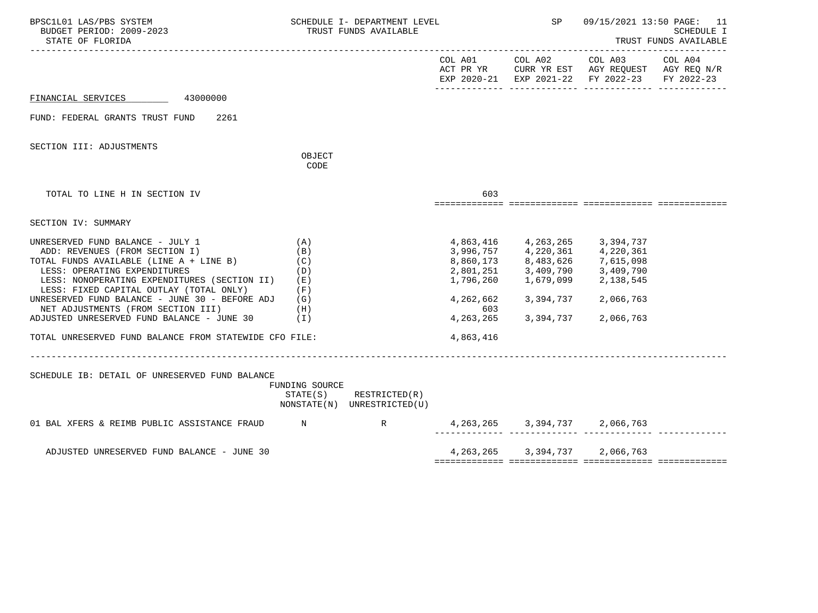| BPSC1L01 LAS/PBS SYSTEM<br>BUDGET PERIOD: 2009-2023<br>STATE OF FLORIDA                                                                                                                                                                                                                                                                                                                                                                            |                                                 | SCHEDULE I- DEPARTMENT LEVEL<br>TRUST FUNDS AVAILABLE      |                                                                        | <b>SP</b>                                                                                                                                                                                                                                                                                                    | 09/15/2021 13:50 PAGE: 11<br><b>SCHEDULE I</b><br>TRUST FUNDS AVAILABLE                                        |                       |  |
|----------------------------------------------------------------------------------------------------------------------------------------------------------------------------------------------------------------------------------------------------------------------------------------------------------------------------------------------------------------------------------------------------------------------------------------------------|-------------------------------------------------|------------------------------------------------------------|------------------------------------------------------------------------|--------------------------------------------------------------------------------------------------------------------------------------------------------------------------------------------------------------------------------------------------------------------------------------------------------------|----------------------------------------------------------------------------------------------------------------|-----------------------|--|
|                                                                                                                                                                                                                                                                                                                                                                                                                                                    |                                                 |                                                            |                                                                        |                                                                                                                                                                                                                                                                                                              | COL A01 COL A02 COL A03<br>ACT PR YR CURR YR EST AGY REQUEST AGY REQ N/R<br>EXP 2020-21 EXP 2021-22 FY 2022-23 | COL A04<br>FY 2022-23 |  |
| FINANCIAL SERVICES 43000000                                                                                                                                                                                                                                                                                                                                                                                                                        |                                                 |                                                            |                                                                        |                                                                                                                                                                                                                                                                                                              |                                                                                                                |                       |  |
| FUND: FEDERAL GRANTS TRUST FUND<br>2261                                                                                                                                                                                                                                                                                                                                                                                                            |                                                 |                                                            |                                                                        |                                                                                                                                                                                                                                                                                                              |                                                                                                                |                       |  |
| SECTION III: ADJUSTMENTS                                                                                                                                                                                                                                                                                                                                                                                                                           | OBJECT<br>CODE                                  |                                                            |                                                                        |                                                                                                                                                                                                                                                                                                              |                                                                                                                |                       |  |
| TOTAL TO LINE H IN SECTION IV                                                                                                                                                                                                                                                                                                                                                                                                                      |                                                 |                                                            | 603                                                                    |                                                                                                                                                                                                                                                                                                              |                                                                                                                |                       |  |
| SECTION IV: SUMMARY                                                                                                                                                                                                                                                                                                                                                                                                                                |                                                 |                                                            |                                                                        |                                                                                                                                                                                                                                                                                                              |                                                                                                                |                       |  |
| UNRESERVED FUND BALANCE - JULY 1<br>ADD: REVENUES (FROM SECTION I)<br>TOTAL FUNDS AVAILABLE (LINE A + LINE B)<br>LESS: OPERATING EXPENDITURES<br>LESS: NONOPERATING EXPENDITURES (SECTION II)<br>LESS: FIXED CAPITAL OUTLAY (TOTAL ONLY)<br>UNRESERVED FUND BALANCE - JUNE 30 - BEFORE ADJ $(G)$<br>NET ADJUSTMENTS (FROM SECTION III)<br>ADJUSTED UNRESERVED FUND BALANCE - JUNE 30 (I)<br>TOTAL UNRESERVED FUND BALANCE FROM STATEWIDE CFO FILE: | (A)<br>(B)<br>(C)<br>(D)<br>( E )<br>(F)<br>(H) |                                                            | 2,801,251<br>1,796,260<br>4,262,662<br>603<br>4, 263, 265<br>4,863,416 | 4,863,416 4,263,265 3,394,737<br>$\begin{array}{cccc} 3\, , 996 \, , 757 & \qquad 4 \, , 220 \, , 361 & \qquad 4 \, , 220 \, , 361 \\ 8 \, , 860 \, , 173 & \qquad 8 \, , 483 \, , 626 & \qquad 7 \, , 615 \, , 098 \end{array}$<br>$3,409,790$ $3,409,790$<br>1,679,099 2,138,545<br>3,394,737<br>3,394,737 | 2,066,763<br>2,066,763                                                                                         |                       |  |
| SCHEDULE IB: DETAIL OF UNRESERVED FUND BALANCE                                                                                                                                                                                                                                                                                                                                                                                                     | FUNDING SOURCE                                  | $STATE(S)$ RESTRICTED $(R)$<br>NONSTATE(N) UNRESTRICTED(U) |                                                                        |                                                                                                                                                                                                                                                                                                              |                                                                                                                |                       |  |
| 01 BAL XFERS & REIMB PUBLIC ASSISTANCE FRAUD N N N R R                                                                                                                                                                                                                                                                                                                                                                                             |                                                 |                                                            |                                                                        | 4, 263, 265 3, 394, 737 2, 066, 763                                                                                                                                                                                                                                                                          |                                                                                                                |                       |  |
| ADJUSTED UNRESERVED FUND BALANCE - JUNE 30                                                                                                                                                                                                                                                                                                                                                                                                         |                                                 |                                                            |                                                                        | 4, 263, 265 3, 394, 737 2, 066, 763                                                                                                                                                                                                                                                                          |                                                                                                                |                       |  |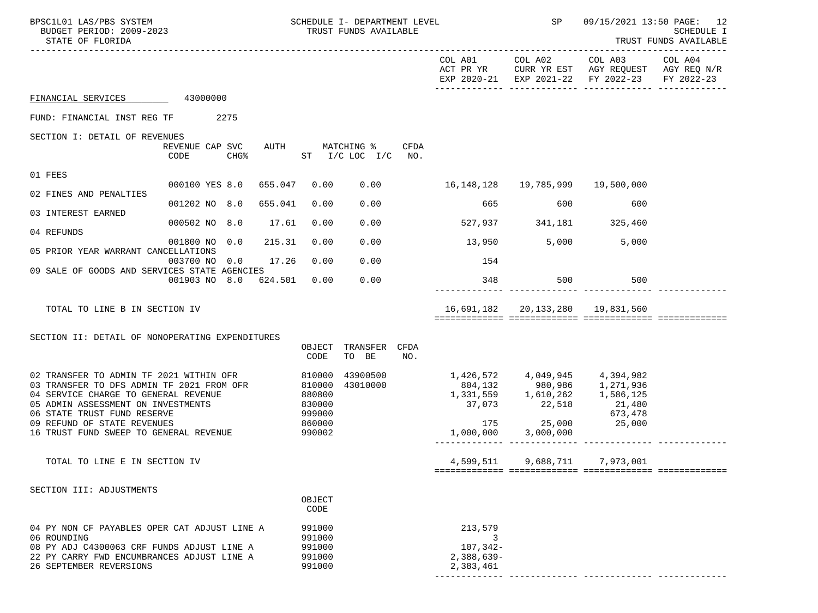| BPSC1L01 LAS/PBS SYSTEM<br>BUDGET PERIOD: 2009-2023<br>STATE OF FLORIDA                                                                                                                                                                                                    |                                                                |        |                                                                    | SCHEDULE I- DEPARTMENT LEVEL<br>TRUST FUNDS AVAILABLE |     |                                                                                                                                                       | SP                               | 09/15/2021 13:50 PAGE: 12                                                                                                         | SCHEDULE I<br>TRUST FUNDS AVAILABLE |
|----------------------------------------------------------------------------------------------------------------------------------------------------------------------------------------------------------------------------------------------------------------------------|----------------------------------------------------------------|--------|--------------------------------------------------------------------|-------------------------------------------------------|-----|-------------------------------------------------------------------------------------------------------------------------------------------------------|----------------------------------|-----------------------------------------------------------------------------------------------------------------------------------|-------------------------------------|
|                                                                                                                                                                                                                                                                            |                                                                |        |                                                                    |                                                       |     |                                                                                                                                                       |                                  | COL A01 COL A02 COL A03 COL A04<br>ACT PR YR CURR YR EST AGY REQUEST AGY REQ N/R<br>EXP 2020-21 EXP 2021-22 FY 2022-23 FY 2022-23 |                                     |
| FINANCIAL SERVICES 43000000                                                                                                                                                                                                                                                |                                                                |        |                                                                    |                                                       |     |                                                                                                                                                       |                                  |                                                                                                                                   |                                     |
| FUND: FINANCIAL INST REG TF 2275                                                                                                                                                                                                                                           |                                                                |        |                                                                    |                                                       |     |                                                                                                                                                       |                                  |                                                                                                                                   |                                     |
| SECTION I: DETAIL OF REVENUES                                                                                                                                                                                                                                              |                                                                |        |                                                                    |                                                       |     |                                                                                                                                                       |                                  |                                                                                                                                   |                                     |
|                                                                                                                                                                                                                                                                            | REVENUE CAP SVC<br>CODE<br>CHG <sup>§</sup> ST I/C LOC I/C NO. |        |                                                                    | AUTH MATCHING % CFDA                                  |     |                                                                                                                                                       |                                  |                                                                                                                                   |                                     |
| 01 FEES                                                                                                                                                                                                                                                                    |                                                                |        |                                                                    |                                                       |     |                                                                                                                                                       |                                  |                                                                                                                                   |                                     |
| 02 FINES AND PENALTIES                                                                                                                                                                                                                                                     | 000100 YES 8.0  655.047  0.00                                  |        |                                                                    |                                                       |     | $0.00$ 16,148,128 19,785,999 19,500,000                                                                                                               |                                  |                                                                                                                                   |                                     |
| 03 INTEREST EARNED                                                                                                                                                                                                                                                         | 001202 NO 8.0 655.041                                          |        | 0.00                                                               | 0.00                                                  |     | 665                                                                                                                                                   | 600                              | 600                                                                                                                               |                                     |
| 04 REFUNDS                                                                                                                                                                                                                                                                 | 000502 NO 8.0 17.61                                            |        | 0.00                                                               | 0.00                                                  |     |                                                                                                                                                       | 527,937 341,181 325,460          |                                                                                                                                   |                                     |
|                                                                                                                                                                                                                                                                            | 001800 NO 0.0                                                  | 215.31 | 0.00                                                               | 0.00                                                  |     | $13,950$ 5,000 5,000                                                                                                                                  |                                  |                                                                                                                                   |                                     |
| 05 PRIOR YEAR WARRANT CANCELLATIONS                                                                                                                                                                                                                                        | 003700 NO 0.0                                                  | 17.26  | 0.00                                                               | 0.00                                                  |     | 154                                                                                                                                                   |                                  |                                                                                                                                   |                                     |
| 09 SALE OF GOODS AND SERVICES STATE AGENCIES                                                                                                                                                                                                                               | 001903 NO 8.0 624.501 0.00                                     |        |                                                                    | 0.00                                                  |     | 348                                                                                                                                                   | 500 500                          |                                                                                                                                   |                                     |
| TOTAL TO LINE B IN SECTION IV                                                                                                                                                                                                                                              |                                                                |        |                                                                    |                                                       |     |                                                                                                                                                       | 16,691,182 20,133,280 19,831,560 |                                                                                                                                   |                                     |
| SECTION II: DETAIL OF NONOPERATING EXPENDITURES                                                                                                                                                                                                                            |                                                                |        | OBJECT<br>CODE                                                     | TRANSFER CFDA<br>TO BE                                | NO. |                                                                                                                                                       |                                  |                                                                                                                                   |                                     |
| 02 TRANSFER TO ADMIN TF 2021 WITHIN OFR<br>03 TRANSFER TO DFS ADMIN TF 2021 FROM OFR<br>04 SERVICE CHARGE TO GENERAL REVENUE<br>05 ADMIN ASSESSMENT ON INVESTMENTS<br>06 STATE TRUST FUND RESERVE<br>09 REFUND OF STATE REVENUES<br>16 TRUST FUND SWEEP TO GENERAL REVENUE |                                                                |        | 810000<br>810000<br>880800<br>830000<br>999000<br>860000<br>990002 | 43900500<br>43010000                                  |     | 1,426,572   4,049,945   4,394,982<br>804,132   980,986   1,271,936<br>1, 331, 559 1, 610, 262 1, 586, 125<br>175 25,000 25,000<br>1,000,000 3,000,000 | 37,073 22,518                    | 21,480<br>673,478                                                                                                                 |                                     |
| TOTAL TO LINE E IN SECTION IV                                                                                                                                                                                                                                              |                                                                |        |                                                                    |                                                       |     | 4,599,511                                                                                                                                             | 9,688,711                        | 7,973,001                                                                                                                         |                                     |
| SECTION III: ADJUSTMENTS                                                                                                                                                                                                                                                   |                                                                |        | OBJECT<br>CODE                                                     |                                                       |     |                                                                                                                                                       |                                  |                                                                                                                                   |                                     |
| 04 PY NON CF PAYABLES OPER CAT ADJUST LINE A<br>06 ROUNDING<br>08 PY ADJ C4300063 CRF FUNDS ADJUST LINE A<br>22 PY CARRY FWD ENCUMBRANCES ADJUST LINE A<br>26 SEPTEMBER REVERSIONS                                                                                         |                                                                |        | 991000<br>991000<br>991000<br>991000<br>991000                     |                                                       |     | 213,579<br>$107, 342 -$<br>$2,388,639-$<br>2,383,461                                                                                                  |                                  |                                                                                                                                   |                                     |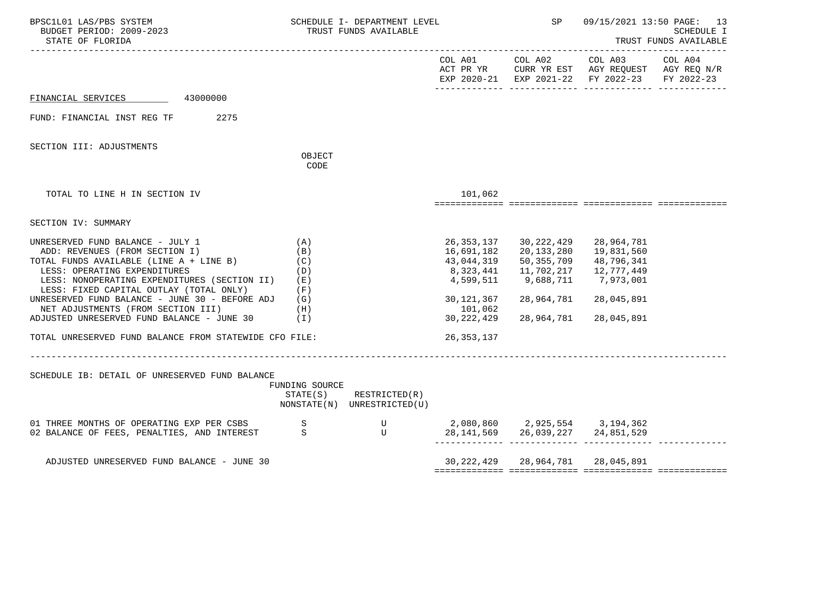| BPSC1L01 LAS/PBS SYSTEM<br>BUDGET PERIOD: 2009-2023<br>STATE OF FLORIDA                                                                                                                                                                                                                        |                                        | SCHEDULE I- DEPARTMENT LEVEL<br>TRUST FUNDS AVAILABLE |                                                                   | SP                                                                        |                                                                                                | 09/15/2021 13:50 PAGE: 13<br>SCHEDULE I<br>TRUST FUNDS AVAILABLE |
|------------------------------------------------------------------------------------------------------------------------------------------------------------------------------------------------------------------------------------------------------------------------------------------------|----------------------------------------|-------------------------------------------------------|-------------------------------------------------------------------|---------------------------------------------------------------------------|------------------------------------------------------------------------------------------------|------------------------------------------------------------------|
|                                                                                                                                                                                                                                                                                                |                                        |                                                       |                                                                   | COL A01 COL A02                                                           | COL A03<br>ACT PR YR CURR YR EST AGY REQUEST AGY REQ N/R<br>EXP 2020-21 EXP 2021-22 FY 2022-23 | COL A04<br>FY 2022-23                                            |
| FINANCIAL SERVICES 43000000                                                                                                                                                                                                                                                                    |                                        |                                                       |                                                                   |                                                                           |                                                                                                |                                                                  |
| FUND: FINANCIAL INST REG TF 2275                                                                                                                                                                                                                                                               |                                        |                                                       |                                                                   |                                                                           |                                                                                                |                                                                  |
| SECTION III: ADJUSTMENTS                                                                                                                                                                                                                                                                       | OBJECT                                 |                                                       |                                                                   |                                                                           |                                                                                                |                                                                  |
|                                                                                                                                                                                                                                                                                                | CODE                                   |                                                       |                                                                   |                                                                           |                                                                                                |                                                                  |
| TOTAL TO LINE H IN SECTION IV                                                                                                                                                                                                                                                                  |                                        |                                                       | 101,062                                                           |                                                                           |                                                                                                |                                                                  |
| SECTION IV: SUMMARY                                                                                                                                                                                                                                                                            |                                        |                                                       |                                                                   |                                                                           |                                                                                                |                                                                  |
| UNRESERVED FUND BALANCE - JULY 1<br>ADD: REVENUES (FROM SECTION I)<br>TOTAL FUNDS AVAILABLE (LINE A + LINE B)<br>LESS: OPERATING EXPENDITURES<br>LESS: NONOPERATING EXPENDITURES (SECTION II)<br>LESS: FIXED CAPITAL OUTLAY (TOTAL ONLY)<br>UNRESERVED FUND BALANCE - JUNE 30 - BEFORE ADJ (G) | (A)<br>(B)<br>(C)<br>(D)<br>(E)<br>(F) |                                                       | 26,353,137<br>16,691,182<br>43,044,319<br>8,323,441<br>30,121,367 | 30,222,429<br>20,133,280<br>50,355,709<br>11,702,217<br>28,964,781        | 28,964,781<br>19,831,560<br>48,796,341<br>12,777,449<br>28,045,891                             |                                                                  |
| NET ADJUSTMENTS (FROM SECTION III)<br>(H)<br>ADJUSTED UNRESERVED FUND BALANCE - JUNE 30                                                                                                                                                                                                        | (I)                                    |                                                       | 101,062<br>30,222,429                                             | 28,964,781                                                                | 28,045,891                                                                                     |                                                                  |
| TOTAL UNRESERVED FUND BALANCE FROM STATEWIDE CFO FILE:                                                                                                                                                                                                                                         |                                        |                                                       | 26, 353, 137                                                      |                                                                           |                                                                                                |                                                                  |
| SCHEDULE IB: DETAIL OF UNRESERVED FUND BALANCE                                                                                                                                                                                                                                                 | FUNDING SOURCE<br>STATE(S)             | RESTRICTED(R)<br>NONSTATE(N) UNRESTRICTED(U)          |                                                                   |                                                                           |                                                                                                |                                                                  |
| 01 THREE MONTHS OF OPERATING EXP PER CSBS S<br>02 BALANCE OF FEES, PENALTIES, AND INTEREST                                                                                                                                                                                                     |                                        | S U                                                   |                                                                   | U 2,080,860 2,925,554 3,194,362<br>28, 141, 569 26, 039, 227 24, 851, 529 |                                                                                                |                                                                  |
| ADJUSTED UNRESERVED FUND BALANCE - JUNE 30                                                                                                                                                                                                                                                     |                                        |                                                       |                                                                   | 30, 222, 429 28, 964, 781 28, 045, 891                                    |                                                                                                |                                                                  |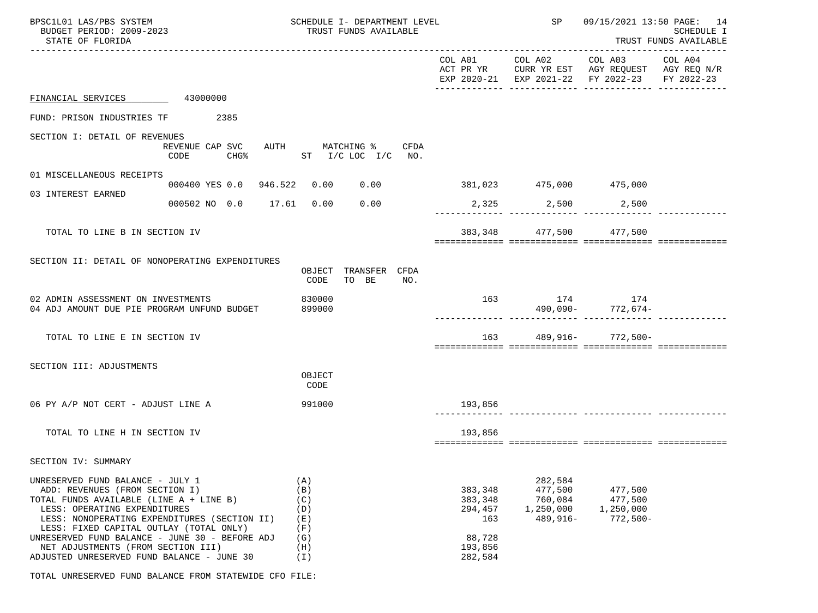| BPSC1L01 LAS/PBS SYSTEM<br>BUDGET PERIOD: 2009-2023<br>STATE OF FLORIDA                                                                                                                                                                                                                                                                                                        |                                                          | SCHEDULE I- DEPARTMENT LEVEL<br>TRUST FUNDS AVAILABLE       |                                                                      | SP                                                       | 09/15/2021 13:50 PAGE: 14                                                                                                         | SCHEDULE I<br>TRUST FUNDS AVAILABLE |
|--------------------------------------------------------------------------------------------------------------------------------------------------------------------------------------------------------------------------------------------------------------------------------------------------------------------------------------------------------------------------------|----------------------------------------------------------|-------------------------------------------------------------|----------------------------------------------------------------------|----------------------------------------------------------|-----------------------------------------------------------------------------------------------------------------------------------|-------------------------------------|
|                                                                                                                                                                                                                                                                                                                                                                                |                                                          |                                                             |                                                                      |                                                          | COL A01 COL A02 COL A03 COL A04<br>ACT PR YR CURR YR EST AGY REQUEST AGY REQ N/R<br>EXP 2020-21 EXP 2021-22 FY 2022-23 FY 2022-23 |                                     |
| FINANCIAL SERVICES 43000000                                                                                                                                                                                                                                                                                                                                                    |                                                          |                                                             |                                                                      |                                                          |                                                                                                                                   |                                     |
| FUND: PRISON INDUSTRIES TF 2385                                                                                                                                                                                                                                                                                                                                                |                                                          |                                                             |                                                                      |                                                          |                                                                                                                                   |                                     |
| SECTION I: DETAIL OF REVENUES                                                                                                                                                                                                                                                                                                                                                  | REVENUE CAP SVC<br>CODE                                  | AUTH MATCHING % CFDA<br>CHG <sup>2</sup> ST I/C LOC I/C NO. |                                                                      |                                                          |                                                                                                                                   |                                     |
| 01 MISCELLANEOUS RECEIPTS                                                                                                                                                                                                                                                                                                                                                      | 000400 YES 0.0 946.522 0.00 0.00 381,023 475,000 475,000 |                                                             |                                                                      |                                                          |                                                                                                                                   |                                     |
| 03 INTEREST EARNED                                                                                                                                                                                                                                                                                                                                                             |                                                          | 0.00                                                        |                                                                      |                                                          |                                                                                                                                   |                                     |
|                                                                                                                                                                                                                                                                                                                                                                                | 000502 NO 0.0 17.61 0.00                                 |                                                             |                                                                      | 2,325 2,500 2,500                                        |                                                                                                                                   |                                     |
| TOTAL TO LINE B IN SECTION IV                                                                                                                                                                                                                                                                                                                                                  |                                                          |                                                             |                                                                      | 383,348 477,500 477,500                                  |                                                                                                                                   |                                     |
| SECTION II: DETAIL OF NONOPERATING EXPENDITURES                                                                                                                                                                                                                                                                                                                                |                                                          | TRANSFER CFDA<br>OBJECT<br>CODE<br>TO BE<br>NO <sub>z</sub> |                                                                      |                                                          |                                                                                                                                   |                                     |
| 02 ADMIN ASSESSMENT ON INVESTMENTS<br>04 ADJ AMOUNT DUE PIE PROGRAM UNFUND BUDGET                                                                                                                                                                                                                                                                                              |                                                          | 830000<br>899000                                            |                                                                      |                                                          | $163$ $174$ $174$<br>$490,090 772,674-$                                                                                           |                                     |
| TOTAL TO LINE E IN SECTION IV                                                                                                                                                                                                                                                                                                                                                  |                                                          |                                                             |                                                                      |                                                          | 163 489,916- 772,500-                                                                                                             |                                     |
| SECTION III: ADJUSTMENTS                                                                                                                                                                                                                                                                                                                                                       |                                                          | OBJECT<br>CODE                                              |                                                                      |                                                          |                                                                                                                                   |                                     |
| 06 PY A/P NOT CERT - ADJUST LINE A                                                                                                                                                                                                                                                                                                                                             |                                                          | 991000                                                      | 193,856                                                              |                                                          |                                                                                                                                   |                                     |
| TOTAL TO LINE H IN SECTION IV                                                                                                                                                                                                                                                                                                                                                  |                                                          |                                                             | 193,856                                                              |                                                          |                                                                                                                                   |                                     |
| SECTION IV: SUMMARY                                                                                                                                                                                                                                                                                                                                                            |                                                          |                                                             |                                                                      |                                                          |                                                                                                                                   |                                     |
| UNRESERVED FUND BALANCE - JULY 1<br>ADD: REVENUES (FROM SECTION I)<br>TOTAL FUNDS AVAILABLE (LINE A + LINE B)<br>LESS: OPERATING EXPENDITURES<br>LESS: NONOPERATING EXPENDITURES (SECTION II)<br>LESS: FIXED CAPITAL OUTLAY (TOTAL ONLY)<br>UNRESERVED FUND BALANCE - JUNE 30 - BEFORE ADJ<br>NET ADJUSTMENTS (FROM SECTION III)<br>ADJUSTED UNRESERVED FUND BALANCE - JUNE 30 |                                                          | (A)<br>(B)<br>(C)<br>(D)<br>(E)<br>(F)<br>(G)<br>(H)<br>(I) | 383,348<br>383,348<br>294,457<br>163<br>88,728<br>193,856<br>282,584 | 282,584<br>477,500<br>760,084<br>1,250,000<br>$489,916-$ | 477,500<br>477,500<br>1,250,000<br>$772,500-$                                                                                     |                                     |

TOTAL UNRESERVED FUND BALANCE FROM STATEWIDE CFO FILE: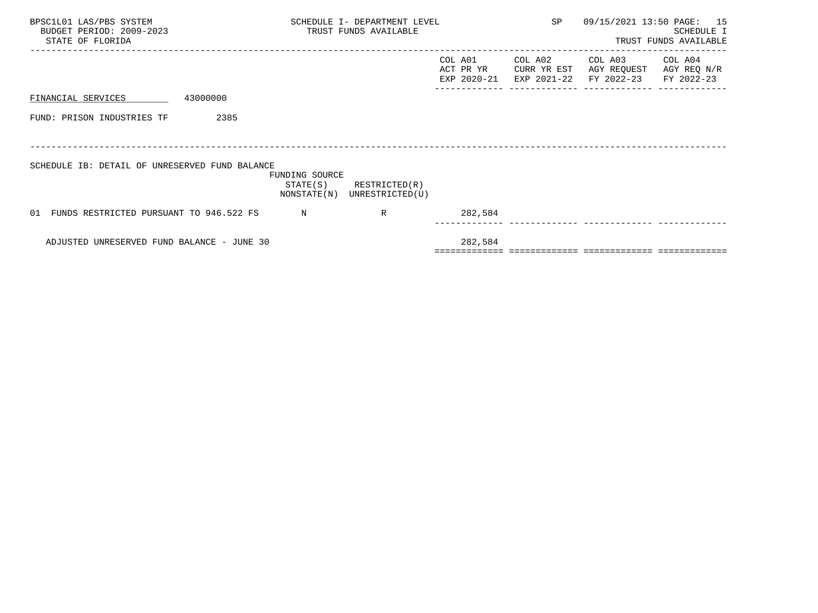| BPSC1L01 LAS/PBS SYSTEM<br>BUDGET PERIOD: 2009-2023<br>STATE OF FLORIDA | SCHEDULE I- DEPARTMENT LEVEL<br>TRUST FUNDS AVAILABLE |                                  |                                     | SP                                    | 09/15/2021 13:50 PAGE:               | 15<br>SCHEDULE I<br>TRUST FUNDS AVAILABLE |
|-------------------------------------------------------------------------|-------------------------------------------------------|----------------------------------|-------------------------------------|---------------------------------------|--------------------------------------|-------------------------------------------|
|                                                                         |                                                       |                                  | COL A01<br>ACT PR YR<br>EXP 2020-21 | COL A02<br>CURR YR EST<br>EXP 2021-22 | COL A03<br>AGY REQUEST<br>FY 2022-23 | COL A04<br>AGY REQ N/R<br>FY 2022-23      |
| 43000000<br>FINANCIAL SERVICES                                          |                                                       |                                  |                                     |                                       |                                      |                                           |
| FUND: PRISON INDUSTRIES TF<br>2385                                      |                                                       |                                  |                                     |                                       |                                      |                                           |
|                                                                         |                                                       |                                  |                                     |                                       |                                      |                                           |
| SCHEDULE IB: DETAIL OF UNRESERVED FUND BALANCE                          | FUNDING SOURCE<br>STATE(S)<br>NONSTATE(N)             | RESTRICTED(R)<br>UNRESTRICTED(U) |                                     |                                       |                                      |                                           |
| FUNDS RESTRICTED PURSUANT TO 946.522 FS<br>O 1                          | N                                                     | R                                | 282,584                             |                                       |                                      |                                           |
| ADJUSTED UNRESERVED FUND BALANCE - JUNE 30                              |                                                       |                                  | 282,584                             |                                       |                                      |                                           |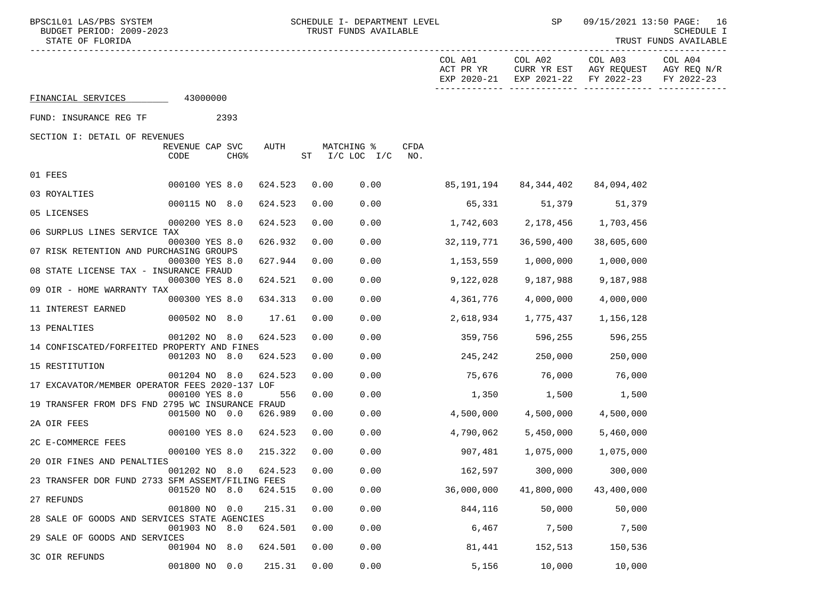3C OIR REFUNDS

29 SALE OF GOODS AND SERVICES

| BUDGET PEKIOD, SUUS-2023<br>STATE OF FLORIDA     |                         |          |                  |         |      | IKUSI FUNDS AVAILABLE         |             |                                     |                                       |                                      | PCHEDOPE T<br>TRUST FUNDS AVAILABLE  |
|--------------------------------------------------|-------------------------|----------|------------------|---------|------|-------------------------------|-------------|-------------------------------------|---------------------------------------|--------------------------------------|--------------------------------------|
|                                                  |                         |          |                  |         |      |                               |             | COL A01<br>ACT PR YR<br>EXP 2020-21 | COL A02<br>CURR YR EST<br>EXP 2021-22 | COL A03<br>AGY REQUEST<br>FY 2022-23 | COL A04<br>AGY REQ N/R<br>FY 2022-23 |
| FINANCIAL SERVICES                               |                         | 43000000 |                  |         |      |                               |             |                                     |                                       |                                      |                                      |
| FUND: INSURANCE REG TF                           |                         |          | 2393             |         |      |                               |             |                                     |                                       |                                      |                                      |
| SECTION I: DETAIL OF REVENUES                    |                         |          |                  |         |      |                               |             |                                     |                                       |                                      |                                      |
|                                                  | REVENUE CAP SVC<br>CODE |          | CHG <sup>8</sup> | AUTH    | ST   | MATCHING %<br>$I/C$ LOC $I/C$ | CFDA<br>NO. |                                     |                                       |                                      |                                      |
| 01 FEES                                          |                         |          |                  |         |      |                               |             |                                     |                                       |                                      |                                      |
| 03 ROYALTIES                                     | 000100 YES 8.0          |          |                  | 624.523 | 0.00 | 0.00                          |             | 85,191,194                          | 84,344,402                            | 84,094,402                           |                                      |
|                                                  | 000115 NO 8.0           |          |                  | 624.523 | 0.00 | 0.00                          |             | 65,331                              | 51,379                                | 51,379                               |                                      |
| 05 LICENSES                                      | 000200 YES 8.0          |          |                  | 624.523 | 0.00 | 0.00                          |             | 1,742,603                           | 2,178,456                             | 1,703,456                            |                                      |
| 06 SURPLUS LINES SERVICE TAX                     | 000300 YES 8.0          |          |                  | 626.932 | 0.00 | 0.00                          |             | 32,119,771                          | 36,590,400                            | 38,605,600                           |                                      |
| 07 RISK RETENTION AND PURCHASING GROUPS          |                         |          |                  |         |      |                               |             |                                     |                                       |                                      |                                      |
| 08 STATE LICENSE TAX - INSURANCE FRAUD           | 000300 YES 8.0          |          |                  | 627.944 | 0.00 | 0.00                          |             | 1,153,559                           | 1,000,000                             | 1,000,000                            |                                      |
| 09 OIR - HOME WARRANTY TAX                       | 000300 YES 8.0          |          |                  | 624.521 | 0.00 | 0.00                          |             | 9,122,028                           | 9,187,988                             | 9,187,988                            |                                      |
|                                                  | 000300 YES 8.0          |          |                  | 634.313 | 0.00 | 0.00                          |             | 4,361,776                           | 4,000,000                             | 4,000,000                            |                                      |
| 11 INTEREST EARNED                               | 000502 NO 8.0           |          |                  | 17.61   | 0.00 | 0.00                          |             | 2,618,934                           | 1,775,437                             | 1,156,128                            |                                      |
| 13 PENALTIES                                     |                         |          |                  |         |      |                               |             |                                     |                                       |                                      |                                      |
| 14 CONFISCATED/FORFEITED PROPERTY AND FINES      | 001202 NO 8.0           |          |                  | 624.523 | 0.00 | 0.00                          |             | 359,756                             | 596,255                               | 596,255                              |                                      |
| 15 RESTITUTION                                   | 001203 NO 8.0           |          |                  | 624.523 | 0.00 | 0.00                          |             | 245,242                             | 250,000                               | 250,000                              |                                      |
|                                                  | 001204 NO 8.0           |          |                  | 624.523 | 0.00 | 0.00                          |             | 75,676                              | 76,000                                | 76,000                               |                                      |
| 17 EXCAVATOR/MEMBER OPERATOR FEES 2020-137 LOF   | 000100 YES 8.0          |          |                  | 556     | 0.00 | 0.00                          |             | 1,350                               | 1,500                                 | 1,500                                |                                      |
| 19 TRANSFER FROM DFS FND 2795 WC INSURANCE FRAUD |                         |          |                  |         |      |                               |             |                                     |                                       |                                      |                                      |
| 2A OIR FEES                                      | 001500 NO 0.0           |          |                  | 626.989 | 0.00 | 0.00                          |             | 4,500,000                           | 4,500,000                             | 4,500,000                            |                                      |
| 2C E-COMMERCE FEES                               | 000100 YES 8.0          |          |                  | 624.523 | 0.00 | 0.00                          |             | 4,790,062                           | 5,450,000                             | 5,460,000                            |                                      |
|                                                  | 000100 YES 8.0          |          |                  | 215.322 | 0.00 | 0.00                          |             | 907,481                             | 1,075,000                             | 1,075,000                            |                                      |
| 20 OIR FINES AND PENALTIES                       | 001202 NO 8.0           |          |                  | 624.523 | 0.00 | 0.00                          |             | 162,597                             | 300,000                               | 300,000                              |                                      |
| 23 TRANSFER DOR FUND 2733 SFM ASSEMT/FILING FEES |                         |          |                  |         |      |                               |             |                                     |                                       |                                      |                                      |
| 27 REFUNDS                                       | 001520 NO 8.0           |          |                  | 624.515 | 0.00 | 0.00                          |             | 36,000,000                          | 41,800,000                            | 43,400,000                           |                                      |
|                                                  | 001800 NO 0.0           |          |                  | 215.31  | 0.00 | 0.00                          |             | 844,116                             | 50,000                                | 50,000                               |                                      |
| 28 SALE OF GOODS AND SERVICES STATE AGENCIES     | 001903 NO 8.0           |          |                  | 624.501 | 0.00 | 0.00                          |             | 6,467                               | 7,500                                 | 7,500                                |                                      |

001904 NO 8.0 624.501 0.00 0.00 81,441 152,513 150,536

001800 NO 0.0 215.31 0.00 0.00 5,156 10,000 10,000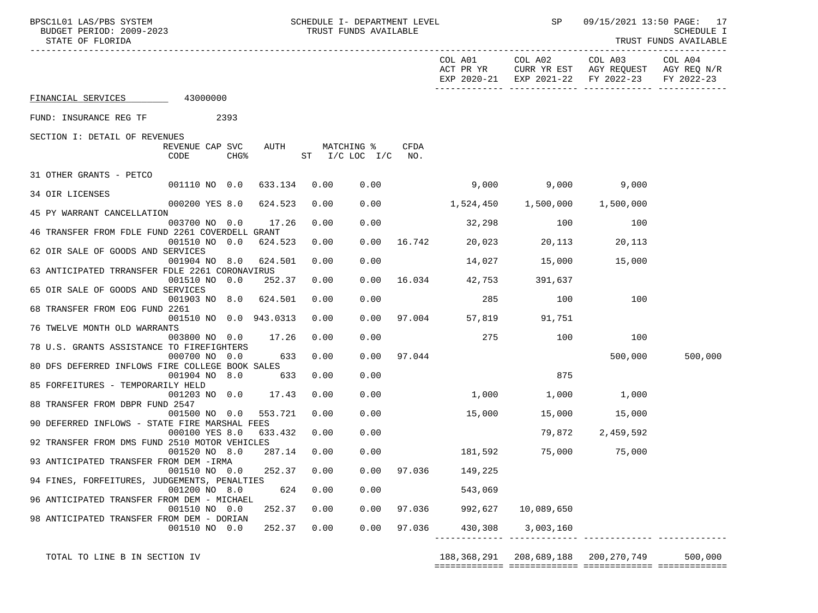| BPSC1L01 LAS/PBS SYSTEM<br>BUDGET PERIOD: 2009-2023<br>STATE OF FLORIDA |                         |                  |         | SCHEDULE I- DEPARTMENT LEVEL<br>TRUST FUNDS AVAILABLE |        |                      | SP              | 09/15/2021 13:50 PAGE: 17<br>SCHEDULE I<br>TRUST FUNDS AVAILABLE                               |                       |
|-------------------------------------------------------------------------|-------------------------|------------------|---------|-------------------------------------------------------|--------|----------------------|-----------------|------------------------------------------------------------------------------------------------|-----------------------|
|                                                                         |                         |                  |         |                                                       |        |                      | COL A01 COL A02 | COL A03<br>ACT PR YR CURR YR EST AGY REQUEST AGY REQ N/R<br>EXP 2020-21 EXP 2021-22 FY 2022-23 | COL A04<br>FY 2022-23 |
| FINANCIAL SERVICES 43000000                                             |                         |                  |         |                                                       |        |                      |                 |                                                                                                |                       |
| FUND: INSURANCE REG TF 2393                                             |                         |                  |         |                                                       |        |                      |                 |                                                                                                |                       |
| SECTION I: DETAIL OF REVENUES                                           | REVENUE CAP SVC<br>CODE | CHG <sup>8</sup> | AUTH    | MATCHING %<br>$ST$ $I/C$ $LOC$ $I/C$ $NO$ .           | CFDA   |                      |                 |                                                                                                |                       |
| 31 OTHER GRANTS - PETCO                                                 | 001110 NO 0.0           |                  | 633.134 | 0.00<br>0.00                                          |        |                      | 9,000           | 9,000<br>9,000                                                                                 |                       |
| 34 OIR LICENSES                                                         |                         |                  |         |                                                       |        |                      |                 |                                                                                                |                       |
| 45 PY WARRANT CANCELLATION                                              | 000200 YES 8.0          |                  | 624.523 | 0.00<br>0.00                                          |        |                      |                 |                                                                                                |                       |
| 46 TRANSFER FROM FDLE FUND 2261 COVERDELL GRANT                         | 003700 NO 0.0           |                  | 17.26   | 0.00<br>0.00                                          |        |                      | 32,298 100      | 100                                                                                            |                       |
| 62 OIR SALE OF GOODS AND SERVICES                                       | 001510 NO 0.0           |                  | 624.523 | 0.00<br>0.00                                          |        | 16.742 20,023 20,113 |                 | 20,113                                                                                         |                       |
| 63 ANTICIPATED TRRANSFER FDLE 2261 CORONAVIRUS                          | 001904 NO 8.0           |                  | 624.501 | 0.00<br>0.00                                          |        |                      | 14,027 15,000   | 15,000                                                                                         |                       |
| 65 OIR SALE OF GOODS AND SERVICES                                       | 001510 NO 0.0           |                  | 252.37  | 0.00<br>0.00                                          |        | 16.034 42,753        | 391,637         |                                                                                                |                       |
| 68 TRANSFER FROM EOG FUND 2261                                          | 001903 NO 8.0 624.501   |                  |         | 0.00<br>0.00                                          |        | 285                  | 100             | 100                                                                                            |                       |
| 76 TWELVE MONTH OLD WARRANTS                                            | 001510 NO 0.0 943.0313  |                  |         | 0.00<br>0.00                                          | 97.004 | 57,819               | 91,751          |                                                                                                |                       |
| 78 U.S. GRANTS ASSISTANCE TO FIREFIGHTERS                               | 003800 NO 0.0           |                  | 17.26   | 0.00<br>0.00                                          |        | 275                  | 100             | 100                                                                                            |                       |
| 80 DFS DEFERRED INFLOWS FIRE COLLEGE BOOK SALES                         | 000700 NO 0.0           |                  | 633     | 0.00<br>0.00                                          | 97.044 |                      |                 | 500,000                                                                                        | 500,000               |
|                                                                         | 001904 NO 8.0           |                  | 633     | 0.00<br>0.00                                          |        |                      | 875             |                                                                                                |                       |
| 85 FORFEITURES - TEMPORARILY HELD                                       | 001203 NO 0.0           |                  | 17.43   | 0.00<br>0.00                                          |        | $1,000$ $1,000$      |                 | 1,000                                                                                          |                       |
| 88 TRANSFER FROM DBPR FUND 2547                                         | 001500 NO 0.0           |                  | 553.721 | 0.00<br>0.00                                          |        | 15,000               |                 | 15,000 15,000                                                                                  |                       |
| 90 DEFERRED INFLOWS - STATE FIRE MARSHAL FEES                           | 000100 YES 8.0          |                  | 633.432 | 0.00<br>0.00                                          |        |                      |                 | 79,872 2,459,592                                                                               |                       |
| 92 TRANSFER FROM DMS FUND 2510 MOTOR VEHICLES                           | 001520 NO 8.0           |                  | 287.14  | 0.00<br>0.00                                          |        |                      | 181,592 75,000  | 75,000                                                                                         |                       |
| 93 ANTICIPATED TRANSFER FROM DEM - IRMA                                 | 001510 NO 0.0           |                  | 252.37  | 0.00<br>0.00                                          | 97.036 | 149,225              |                 |                                                                                                |                       |
| 94 FINES, FORFEITURES, JUDGEMENTS, PENALTIES                            | 001200 NO 8.0           |                  | 624     | 0.00<br>0.00                                          |        | 543,069              |                 |                                                                                                |                       |
| 96 ANTICIPATED TRANSFER FROM DEM - MICHAEL                              | 001510 NO 0.0           |                  | 252.37  | 0.00<br>0.00                                          | 97.036 | 992,627              | 10,089,650      |                                                                                                |                       |
| 98 ANTICIPATED TRANSFER FROM DEM - DORIAN                               | 001510 NO 0.0           |                  | 252.37  | 0.00<br>0.00                                          | 97.036 | 430,308              | 3,003,160       |                                                                                                |                       |
|                                                                         |                         |                  |         |                                                       |        |                      |                 |                                                                                                |                       |

TOTAL TO LINE B IN SECTION IV 188,368,291 208,689,188 200,270,749 500,000

============= ============= ============= =============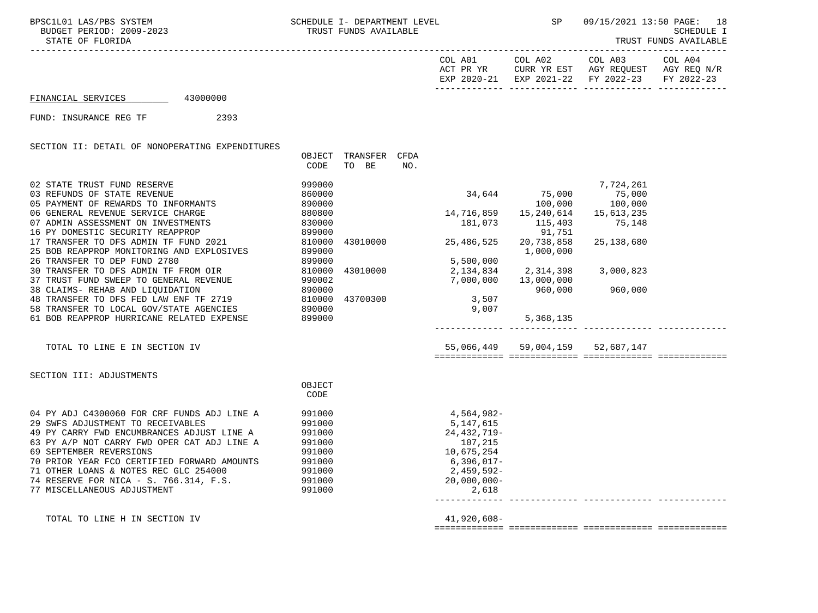STATE OF FLORIDA TRUST FUNDS AVAILABLE

| COL A01     | COL A02                | COL A03                 | COL A04     |
|-------------|------------------------|-------------------------|-------------|
| ACT PR YR   |                        | CURR YR EST AGY REQUEST | AGY REO N/R |
| EXP 2020-21 | EXP 2021-22 FY 2022-23 |                         | FY 2022-23  |
|             |                        |                         |             |

============= ============= ============= =============

## FINANCIAL SERVICES 43000000

## FUND: INSURANCE REG TF 2393

SECTION II: DETAIL OF NONOPERATING EXPENDITURES

|                                                | OBJECT<br>CODE | TRANSFER<br>TO BE | CFDA<br>NO. |                          |                                  |              |  |
|------------------------------------------------|----------------|-------------------|-------------|--------------------------|----------------------------------|--------------|--|
| 02 STATE TRUST FUND RESERVE                    | 999000         |                   |             |                          |                                  | 7,724,261    |  |
| 03 REFUNDS OF STATE REVENUE                    | 860000         |                   |             | 34,644 75,000            |                                  | 75,000       |  |
| 05 PAYMENT OF REWARDS TO INFORMANTS            | 890000         |                   |             |                          | 100,000                          | 100,000      |  |
| 06 GENERAL REVENUE SERVICE CHARGE              | 880800         |                   |             | 14,716,859   15,240,614  |                                  | 15,613,235   |  |
| 07 ADMIN ASSESSMENT ON INVESTMENTS             | 830000         |                   |             | 181,073                  | 115,403                          | 75,148       |  |
| 16 PY DOMESTIC SECURITY REAPPROP               | 899000         |                   |             |                          | 91,751                           |              |  |
| 17 TRANSFER TO DFS ADMIN TF FUND 2021          | 810000         | 43010000          |             | 25, 486, 525             | 20,738,858                       | 25, 138, 680 |  |
| 25 BOB REAPPROP MONITORING AND EXPLOSIVES      | 899000         |                   |             |                          | 1,000,000                        |              |  |
| 26 TRANSFER TO DEP FUND 2780                   | 899000         |                   |             | 5,500,000                |                                  |              |  |
| 30 TRANSFER TO DFS ADMIN TF FROM OIR           | 810000         | 43010000          |             | 2, 134, 834 2, 314, 398  |                                  | 3,000,823    |  |
| 37 TRUST FUND SWEEP TO GENERAL REVENUE         | 990002         |                   |             | $7,000,000$ $13,000,000$ |                                  |              |  |
| 38 CLAIMS- REHAB AND LIQUIDATION               | 890000         |                   |             |                          | 960,000                          | 960,000      |  |
| 48 TRANSFER TO DFS FED LAW ENF TF 2719 810000  |                | 43700300          |             | 3,507                    |                                  |              |  |
| 58 TRANSFER TO LOCAL GOV/STATE AGENCIES 890000 |                |                   |             | 9,007                    |                                  |              |  |
| 61 BOB REAPPROP HURRICANE RELATED EXPENSE      | 899000         |                   |             |                          | 5,368,135                        |              |  |
| TOTAL TO LINE E IN SECTION IV                  |                |                   |             |                          | 55,066,449 59,004,159 52,687,147 |              |  |
| SECTION III: ADJUSTMENTS                       |                |                   |             |                          |                                  |              |  |
|                                                | OBJECT         |                   |             |                          |                                  |              |  |
|                                                | CODE           |                   |             |                          |                                  |              |  |
|                                                |                |                   |             |                          |                                  |              |  |
| 04 PY ADJ C4300060 FOR CRF FUNDS ADJ LINE A    | 991000         |                   |             | 4,564,982-               |                                  |              |  |
| 29 SWFS ADJUSTMENT TO RECEIVABLES              | 991000         |                   |             | 5, 147, 615              |                                  |              |  |
| 49 PY CARRY FWD ENCUMBRANCES ADJUST LINE A     | 991000         |                   |             | 24, 432, 719-            |                                  |              |  |
| 63 PY A/P NOT CARRY FWD OPER CAT ADJ LINE A    | 991000         |                   |             | 107,215                  |                                  |              |  |
| 69 SEPTEMBER REVERSIONS                        | 991000         |                   |             | 10,675,254               |                                  |              |  |
| 70 PRIOR YEAR FCO CERTIFIED FORWARD AMOUNTS    | 991000         |                   |             | 6,396,017-               |                                  |              |  |
| 71 OTHER LOANS & NOTES REC GLC 254000          | 991000         |                   |             | 2,459,592-               |                                  |              |  |
| 74 RESERVE FOR NICA - S. 766.314, F.S. 991000  |                |                   |             | $20,000,000-$            |                                  |              |  |
| 77 MISCELLANEOUS ADJUSTMENT                    | 991000         |                   |             | 2,618                    |                                  |              |  |
|                                                |                |                   |             |                          |                                  |              |  |
| TOTAL TO LINE H IN SECTION IV                  |                |                   |             | 41,920,608-              |                                  |              |  |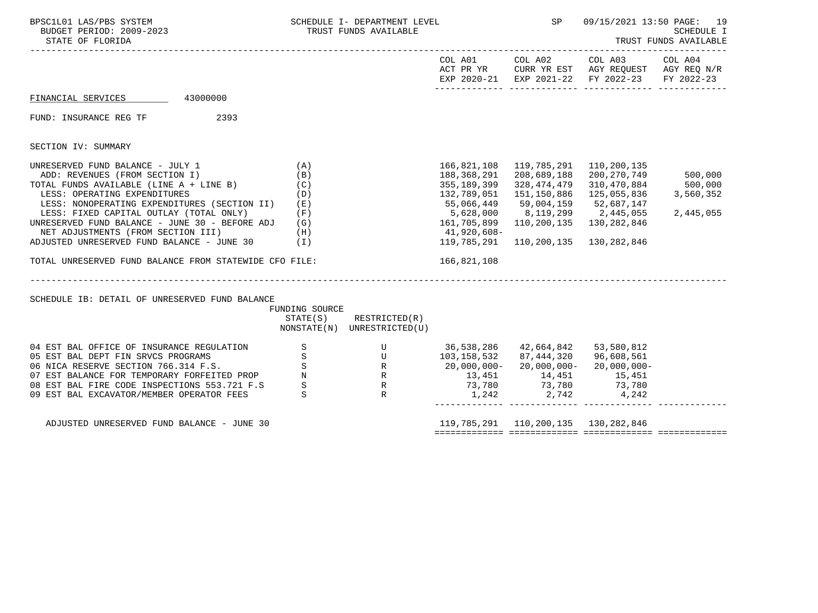| BPSC1L01 LAS/PBS SYSTEM<br>BUDGET PERIOD: 2009-2023<br>STATE OF FLORIDA                                                                                                                                                                                                                                                                                                                                                                                                                                       |                                                                | SCHEDULE I- DEPARTMENT LEVEL<br>TRUST FUNDS AVAILABLE                                                                                                                                         |                                                                                                                                                 | SP                                                                     | 09/15/2021 13:50 PAGE: 19<br><b>SCHEDULE I</b><br>TRUST FUNDS AVAILABLE                                                                             |                                              |  |
|---------------------------------------------------------------------------------------------------------------------------------------------------------------------------------------------------------------------------------------------------------------------------------------------------------------------------------------------------------------------------------------------------------------------------------------------------------------------------------------------------------------|----------------------------------------------------------------|-----------------------------------------------------------------------------------------------------------------------------------------------------------------------------------------------|-------------------------------------------------------------------------------------------------------------------------------------------------|------------------------------------------------------------------------|-----------------------------------------------------------------------------------------------------------------------------------------------------|----------------------------------------------|--|
|                                                                                                                                                                                                                                                                                                                                                                                                                                                                                                               |                                                                |                                                                                                                                                                                               |                                                                                                                                                 |                                                                        |                                                                                                                                                     |                                              |  |
| FINANCIAL SERVICES 43000000                                                                                                                                                                                                                                                                                                                                                                                                                                                                                   |                                                                |                                                                                                                                                                                               |                                                                                                                                                 |                                                                        |                                                                                                                                                     |                                              |  |
| 2393<br>FUND: INSURANCE REG TF                                                                                                                                                                                                                                                                                                                                                                                                                                                                                |                                                                |                                                                                                                                                                                               |                                                                                                                                                 |                                                                        |                                                                                                                                                     |                                              |  |
| SECTION IV: SUMMARY                                                                                                                                                                                                                                                                                                                                                                                                                                                                                           |                                                                |                                                                                                                                                                                               |                                                                                                                                                 |                                                                        |                                                                                                                                                     |                                              |  |
| UNRESERVED FUND BALANCE - JULY 1<br>ADD: REVENUES (FROM SECTION I)<br>TOTAL FUNDS AVAILABLE (LINE A + LINE B)<br>LESS: OPERATING EXPENDITURES<br>LESS: NONOPERATING EXPENDITURES (SECTION II)<br>LESS: FIXED CAPITAL OUTLAY (TOTAL ONLY) (F)<br>UNRESERVED FUND BALANCE - JUNE 30 - BEFORE ADJ (G)<br>NET ADJUSTMENTS (FROM SECTION III)<br>(H)<br>ADJUSTED UNRESERVED FUND BALANCE - JUNE 30 (I)<br>TOTAL UNRESERVED FUND BALANCE FROM STATEWIDE CFO FILE:<br>SCHEDULE IB: DETAIL OF UNRESERVED FUND BALANCE | (A)<br>(B)<br>(C)<br>(D)<br>(E)<br>FUNDING SOURCE              | _______________________________<br>$STATE(S)$ RESTRICTED $(R)$                                                                                                                                | 166,821,108<br>188,368,291<br>355,189,399<br>132,789,051<br>55,066,449<br>5,628,000<br>161,705,899<br>41,920,608-<br>119,785,291<br>166,821,108 | 119,785,291<br>208,689,188<br>328,474,479<br>151,150,886<br>59,004,159 | 110,200,135<br>200,270,749<br>310,470,884<br>125,055,836<br>52,687,147<br>8,119,299 2,445,055<br>110,200,135 130,282,846<br>110,200,135 130,282,846 | 500,000<br>500,000<br>3,560,352<br>2,445,055 |  |
|                                                                                                                                                                                                                                                                                                                                                                                                                                                                                                               |                                                                | NONSTATE(N) UNRESTRICTED(U)                                                                                                                                                                   |                                                                                                                                                 |                                                                        |                                                                                                                                                     |                                              |  |
| 04 EST BAL OFFICE OF INSURANCE REGULATION<br>05 EST BAL DEPT FIN SRVCS PROGRAMS<br>07 EST BALANCE FOR TEMPORARY FORFEITED PROP N<br>08 EST BAL FIRE CODE INSPECTIONS 553.721 F.S<br>09 EST BAL EXCAVATOR/MEMBER OPERATOR FEES                                                                                                                                                                                                                                                                                 | S<br>S<br>$\mathbf S$<br>$\begin{array}{c} S \\ S \end{array}$ | U 36,538,286 42,664,842 53,580,812<br>U 103,158,532 87,444,320 96,608,561<br>R 20,000,000- 20,000,000- 20,000,000-<br>R 13,451 14,451 15,451<br>R 73,780 73,780 73,780<br>R 1,242 2,742 4,242 |                                                                                                                                                 |                                                                        |                                                                                                                                                     |                                              |  |
| ADJUSTED UNRESERVED FUND BALANCE - JUNE 30                                                                                                                                                                                                                                                                                                                                                                                                                                                                    |                                                                |                                                                                                                                                                                               |                                                                                                                                                 | 119, 785, 291 110, 200, 135 130, 282, 846                              |                                                                                                                                                     |                                              |  |

============= ============= ============= =============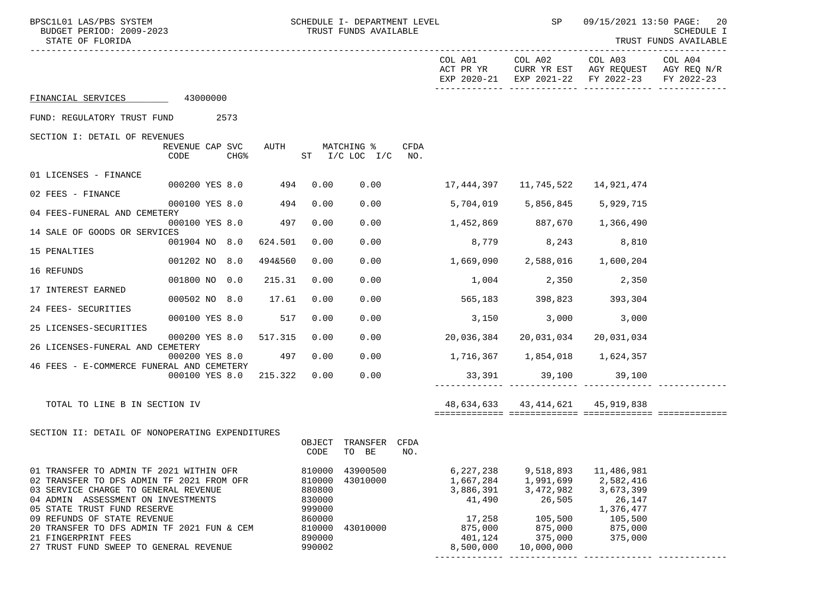| BPSC1L01 LAS/PBS SYSTEM<br>BUDGET PERIOD: 2009-2023<br>STATE OF FLORIDA                                                                                                                                                                                                                                                                         |                         |                        | SCHEDULE I- DEPARTMENT LEVEL<br>TRUST FUNDS AVAILABLE                                  |                                       |      |                                                                                            | SP                                                                                           | 09/15/2021 13:50 PAGE: 20<br>SCHEDULE I<br>TRUST FUNDS AVAILABLE<br>---------                                |            |  |
|-------------------------------------------------------------------------------------------------------------------------------------------------------------------------------------------------------------------------------------------------------------------------------------------------------------------------------------------------|-------------------------|------------------------|----------------------------------------------------------------------------------------|---------------------------------------|------|--------------------------------------------------------------------------------------------|----------------------------------------------------------------------------------------------|--------------------------------------------------------------------------------------------------------------|------------|--|
|                                                                                                                                                                                                                                                                                                                                                 |                         |                        |                                                                                        |                                       |      | ACT PR YR                                                                                  |                                                                                              | COL A01 COL A02 COL A03 COL A04<br>CURR YR EST AGY REQUEST AGY REQ N/R<br>EXP 2020-21 EXP 2021-22 FY 2022-23 | FY 2022-23 |  |
| FINANCIAL SERVICES 43000000                                                                                                                                                                                                                                                                                                                     |                         |                        |                                                                                        |                                       |      |                                                                                            |                                                                                              |                                                                                                              |            |  |
| FUND: REGULATORY TRUST FUND 2573                                                                                                                                                                                                                                                                                                                |                         |                        |                                                                                        |                                       |      |                                                                                            |                                                                                              |                                                                                                              |            |  |
| SECTION I: DETAIL OF REVENUES                                                                                                                                                                                                                                                                                                                   |                         |                        |                                                                                        |                                       |      |                                                                                            |                                                                                              |                                                                                                              |            |  |
|                                                                                                                                                                                                                                                                                                                                                 | REVENUE CAP SVC<br>CODE | $CHG\$                 |                                                                                        | AUTH MATCHING %<br>ST I/C LOC I/C NO. | CFDA |                                                                                            |                                                                                              |                                                                                                              |            |  |
| 01 LICENSES - FINANCE                                                                                                                                                                                                                                                                                                                           |                         |                        |                                                                                        |                                       |      |                                                                                            |                                                                                              |                                                                                                              |            |  |
| 02 FEES - FINANCE                                                                                                                                                                                                                                                                                                                               |                         | 000200 YES 8.0 494     | 0.00                                                                                   |                                       |      | $0.00$ 17,444,397 11,745,522                                                               |                                                                                              | 14,921,474                                                                                                   |            |  |
| 04 FEES-FUNERAL AND CEMETERY                                                                                                                                                                                                                                                                                                                    |                         | 000100 YES 8.0 494     | 0.00                                                                                   | 0.00                                  |      |                                                                                            | 5,704,019 5,856,845 5,929,715                                                                |                                                                                                              |            |  |
|                                                                                                                                                                                                                                                                                                                                                 |                         | 000100 YES 8.0 497     | 0.00                                                                                   |                                       |      | $0.00$ 1,452,869 887,670 1,366,490                                                         |                                                                                              |                                                                                                              |            |  |
| 14 SALE OF GOODS OR SERVICES                                                                                                                                                                                                                                                                                                                    |                         | 001904 NO 8.0 624.501  | 0.00                                                                                   | 0.00                                  |      |                                                                                            | 8,779 8,243 8,810                                                                            |                                                                                                              |            |  |
| 15 PENALTIES                                                                                                                                                                                                                                                                                                                                    | 001202 NO 8.0           | 494&560                | 0.00                                                                                   | 0.00                                  |      | $1,669,090$ $2,588,016$ $1,600,204$                                                        |                                                                                              |                                                                                                              |            |  |
| 16 REFUNDS                                                                                                                                                                                                                                                                                                                                      | 001800 NO 0.0           |                        | 0.00<br>215.31                                                                         | 0.00                                  |      | $1,004$ $2,350$ $2,350$                                                                    |                                                                                              |                                                                                                              |            |  |
| 17 INTEREST EARNED                                                                                                                                                                                                                                                                                                                              |                         |                        |                                                                                        |                                       |      |                                                                                            |                                                                                              |                                                                                                              |            |  |
| 24 FEES- SECURITIES                                                                                                                                                                                                                                                                                                                             |                         | 000502 NO 8.0 17.61    | 0.00                                                                                   | 0.00                                  |      | 565, 183 398, 823 393, 304                                                                 |                                                                                              |                                                                                                              |            |  |
| 25 LICENSES-SECURITIES                                                                                                                                                                                                                                                                                                                          |                         | 000100 YES 8.0 517     | 0.00                                                                                   | 0.00                                  |      |                                                                                            | 3,150 3,000 3,000                                                                            |                                                                                                              |            |  |
|                                                                                                                                                                                                                                                                                                                                                 |                         | 000200 YES 8.0 517.315 | 0.00                                                                                   | 0.00                                  |      | 20,036,384                                                                                 |                                                                                              |                                                                                                              |            |  |
| 26 LICENSES-FUNERAL AND CEMETERY                                                                                                                                                                                                                                                                                                                |                         | 000200 YES 8.0         | 497<br>0.00                                                                            | 0.00                                  |      |                                                                                            |                                                                                              |                                                                                                              |            |  |
| 46 FEES - E-COMMERCE FUNERAL AND CEMETERY                                                                                                                                                                                                                                                                                                       |                         | 000100 YES 8.0 215.322 | 0.00                                                                                   | 0.00                                  |      |                                                                                            | 33,391 39,100 39,100                                                                         |                                                                                                              |            |  |
|                                                                                                                                                                                                                                                                                                                                                 |                         |                        |                                                                                        |                                       |      |                                                                                            |                                                                                              |                                                                                                              |            |  |
| TOTAL TO LINE B IN SECTION IV                                                                                                                                                                                                                                                                                                                   |                         |                        |                                                                                        |                                       |      |                                                                                            | 48,634,633 43,414,621 45,919,838                                                             |                                                                                                              |            |  |
|                                                                                                                                                                                                                                                                                                                                                 |                         |                        |                                                                                        |                                       |      |                                                                                            |                                                                                              |                                                                                                              |            |  |
| SECTION II: DETAIL OF NONOPERATING EXPENDITURES                                                                                                                                                                                                                                                                                                 |                         |                        | CODE                                                                                   | OBJECT TRANSFER CFDA<br>TO BE         | NO.  |                                                                                            |                                                                                              |                                                                                                              |            |  |
| 01 TRANSFER TO ADMIN TF 2021 WITHIN OFR<br>02 TRANSFER TO DFS ADMIN TF 2021 FROM OFR<br>03 SERVICE CHARGE TO GENERAL REVENUE<br>04 ADMIN ASSESSMENT ON INVESTMENTS<br>05 STATE TRUST FUND RESERVE<br>09 REFUNDS OF STATE REVENUE<br>20 TRANSFER TO DFS ADMIN TF 2021 FUN & CEM<br>21 FINGERPRINT FEES<br>27 TRUST FUND SWEEP TO GENERAL REVENUE |                         |                        | 810000<br>810000<br>880800<br>830000<br>999000<br>860000<br>810000<br>890000<br>990002 | 43900500<br>43010000<br>43010000      |      | 6,227,238<br>1,667,284<br>3,886,391<br>41,490<br>17,258<br>875,000<br>401,124<br>8,500,000 | 9,518,893<br>1,991,699<br>3,472,982<br>26,505<br>105,500<br>875,000<br>375,000<br>10,000,000 | 11,486,981<br>2,582,416<br>3,673,399<br>26,147<br>1,376,477<br>105,500<br>875,000<br>375,000                 |            |  |
|                                                                                                                                                                                                                                                                                                                                                 |                         |                        |                                                                                        |                                       |      |                                                                                            |                                                                                              |                                                                                                              |            |  |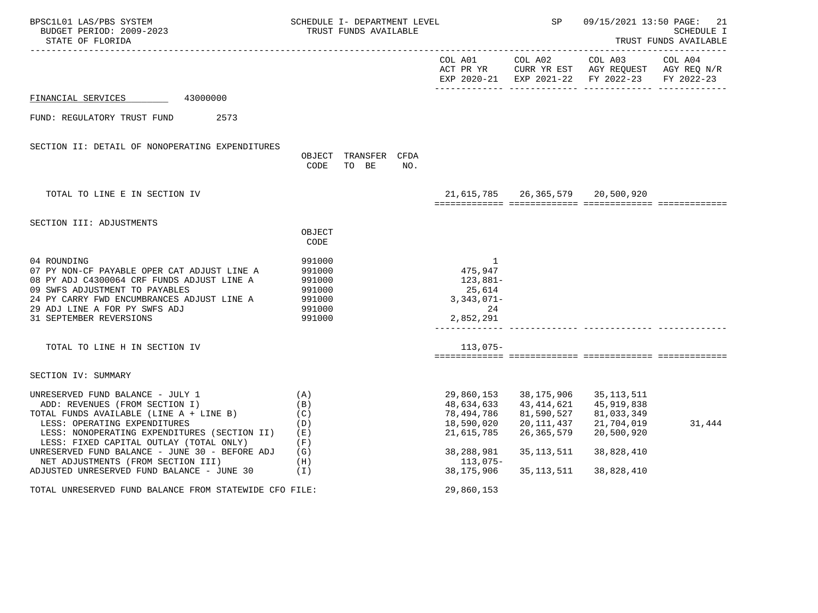| BPSC1L01 LAS/PBS SYSTEM<br>BUDGET PERIOD: 2009-2023<br>STATE OF FLORIDA                                                                                                                                                                                                                                                                                                        |                                                                    | SCHEDULE I- DEPARTMENT LEVEL<br>TRUST FUNDS AVAILABLE |                                                                                                            | SP                                                                                                 | 09/15/2021 13:50 PAGE:                                                                                 | 21<br>SCHEDULE I<br>TRUST FUNDS AVAILABLE |  |
|--------------------------------------------------------------------------------------------------------------------------------------------------------------------------------------------------------------------------------------------------------------------------------------------------------------------------------------------------------------------------------|--------------------------------------------------------------------|-------------------------------------------------------|------------------------------------------------------------------------------------------------------------|----------------------------------------------------------------------------------------------------|--------------------------------------------------------------------------------------------------------|-------------------------------------------|--|
|                                                                                                                                                                                                                                                                                                                                                                                |                                                                    |                                                       | COL A01                                                                                                    |                                                                                                    | COL A02 COL A03<br>ACT PR YR CURR YR EST AGY REQUEST AGY REQ N/R<br>EXP 2020-21 EXP 2021-22 FY 2022-23 | COL A04<br>FY 2022-23                     |  |
| FINANCIAL SERVICES 43000000                                                                                                                                                                                                                                                                                                                                                    |                                                                    |                                                       |                                                                                                            |                                                                                                    |                                                                                                        |                                           |  |
| FUND: REGULATORY TRUST FUND<br>2573                                                                                                                                                                                                                                                                                                                                            |                                                                    |                                                       |                                                                                                            |                                                                                                    |                                                                                                        |                                           |  |
| SECTION II: DETAIL OF NONOPERATING EXPENDITURES                                                                                                                                                                                                                                                                                                                                | CODE                                                               | OBJECT TRANSFER CFDA<br>TO BE<br>NO.                  |                                                                                                            |                                                                                                    |                                                                                                        |                                           |  |
| TOTAL TO LINE E IN SECTION IV                                                                                                                                                                                                                                                                                                                                                  |                                                                    |                                                       |                                                                                                            | 21,615,785 26,365,579 20,500,920                                                                   |                                                                                                        |                                           |  |
| SECTION III: ADJUSTMENTS                                                                                                                                                                                                                                                                                                                                                       | OBJECT<br>CODE                                                     |                                                       |                                                                                                            |                                                                                                    |                                                                                                        |                                           |  |
| 04 ROUNDING<br>07 PY NON-CF PAYABLE OPER CAT ADJUST LINE A<br>08 PY ADJ C4300064 CRF FUNDS ADJUST LINE A<br>09 SWFS ADJUSTMENT TO PAYABLES<br>24 PY CARRY FWD ENCUMBRANCES ADJUST LINE A<br>29 ADJ LINE A FOR PY SWFS ADJ<br>31 SEPTEMBER REVERSIONS                                                                                                                           | 991000<br>991000<br>991000<br>991000<br>991000<br>991000<br>991000 |                                                       | -1<br>475,947<br>123,881-<br>25,614<br>$3,343,071-$<br>24<br>2,852,291                                     |                                                                                                    |                                                                                                        |                                           |  |
| TOTAL TO LINE H IN SECTION IV                                                                                                                                                                                                                                                                                                                                                  |                                                                    |                                                       | $113,075-$                                                                                                 |                                                                                                    |                                                                                                        |                                           |  |
| SECTION IV: SUMMARY                                                                                                                                                                                                                                                                                                                                                            |                                                                    |                                                       |                                                                                                            |                                                                                                    |                                                                                                        |                                           |  |
| UNRESERVED FUND BALANCE - JULY 1<br>ADD: REVENUES (FROM SECTION I)<br>TOTAL FUNDS AVAILABLE (LINE A + LINE B)<br>LESS: OPERATING EXPENDITURES<br>LESS: NONOPERATING EXPENDITURES (SECTION II)<br>LESS: FIXED CAPITAL OUTLAY (TOTAL ONLY)<br>UNRESERVED FUND BALANCE - JUNE 30 - BEFORE ADJ<br>NET ADJUSTMENTS (FROM SECTION III)<br>ADJUSTED UNRESERVED FUND BALANCE - JUNE 30 | (A)<br>(B)<br>(C)<br>(D)<br>( E )<br>(F)<br>(G)<br>(H)<br>( I )    |                                                       | 29,860,153<br>48,634,633<br>78,494,786<br>18,590,020<br>21,615,785<br>38,288,981<br>113,075-<br>38,175,906 | 38,175,906<br>43,414,621<br>81,590,527<br>20,111,437<br>26, 365, 579<br>35, 113, 511<br>35,113,511 | 35, 113, 511<br>45,919,838<br>81,033,349<br>21,704,019<br>20,500,920<br>38,828,410<br>38,828,410       | 31,444                                    |  |
| TOTAL UNRESERVED FUND BALANCE FROM STATEWIDE CFO FILE:                                                                                                                                                                                                                                                                                                                         |                                                                    |                                                       | 29,860,153                                                                                                 |                                                                                                    |                                                                                                        |                                           |  |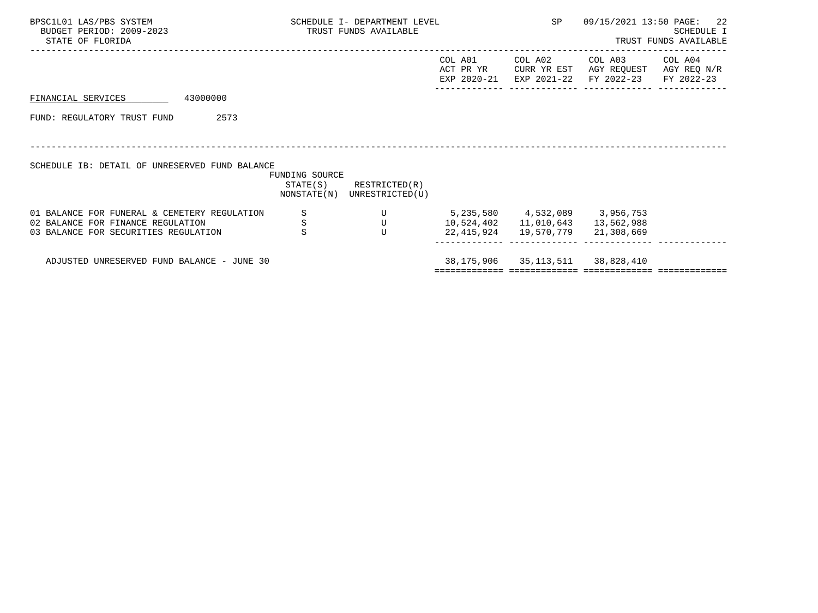| BPSC1L01 LAS/PBS SYSTEM<br>BUDGET PERIOD: 2009-2023<br>STATE OF FLORIDA                                                   | SCHEDULE I- DEPARTMENT LEVEL<br>TRUST FUNDS AVAILABLE |                    |                                                            |                                                                             | SP                                     | 09/15/2021 13:50 PAGE: 22                                    | <b>SCHEDULE I</b><br>TRUST FUNDS AVAILABLE |
|---------------------------------------------------------------------------------------------------------------------------|-------------------------------------------------------|--------------------|------------------------------------------------------------|-----------------------------------------------------------------------------|----------------------------------------|--------------------------------------------------------------|--------------------------------------------|
|                                                                                                                           |                                                       |                    |                                                            | COL A01<br>ACT PR YR<br>EXP 2020-21                                         | COL A02                                | COL A03<br>CURR YR EST AGY REQUEST<br>EXP 2021-22 FY 2022-23 | COL A04<br>AGY REQ N/R<br>FY 2022-23       |
| 43000000<br>FINANCIAL SERVICES                                                                                            |                                                       |                    |                                                            |                                                                             |                                        |                                                              |                                            |
| FUND: REGULATORY TRUST FUND                                                                                               | 2573                                                  |                    |                                                            |                                                                             |                                        |                                                              |                                            |
| SCHEDULE IB: DETAIL OF UNRESERVED FUND BALANCE                                                                            |                                                       | FUNDING SOURCE     |                                                            |                                                                             |                                        |                                                              |                                            |
|                                                                                                                           |                                                       |                    | $STATE(S)$ RESTRICTED $(R)$<br>NONSTATE(N) UNRESTRICTED(U) |                                                                             |                                        |                                                              |                                            |
| 01 BALANCE FOR FUNERAL & CEMETERY REGULATION<br>02 BALANCE FOR FINANCE REGULATION<br>03 BALANCE FOR SECURITIES REGULATION |                                                       | S<br>$\frac{S}{S}$ | $\mathbf U$<br>$\mathbf U$<br>$\mathbf{U}$                 | $5,235,580$ $4,532,089$ $3,956,753$<br>10,524,402   11,010,643   13,562,988 | 22, 415, 924 19, 570, 779 21, 308, 669 |                                                              |                                            |
| ADJUSTED UNRESERVED FUND BALANCE - JUNE 30                                                                                |                                                       |                    |                                                            | _______________________________                                             | 38, 175, 906 35, 113, 511 38, 828, 410 |                                                              |                                            |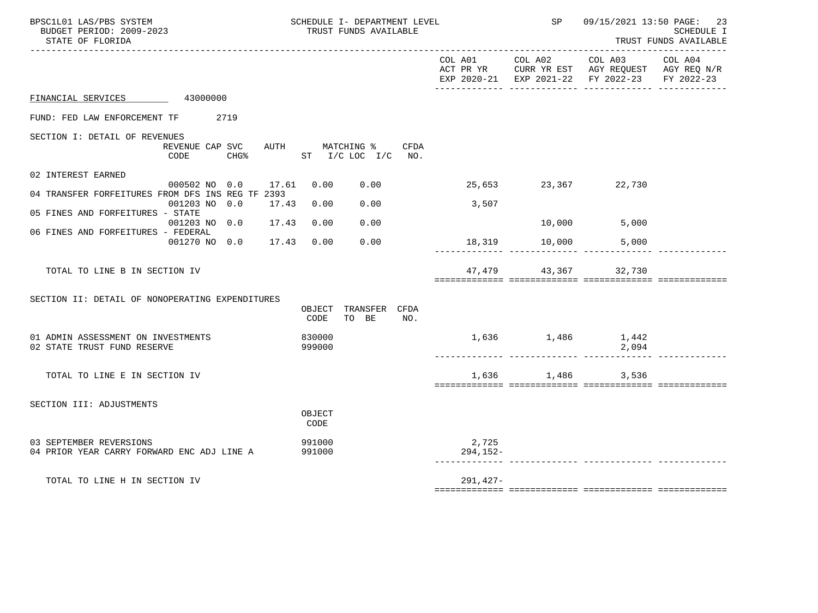| BPSC1L01 LAS/PBS SYSTEM<br>BUDGET PERIOD: 2009-2023<br>STATE OF FLORIDA      |                  | SCHEDULE I- DEPARTMENT LEVEL<br>TRUST FUNDS AVAILABLE |                         |                      | SP            |                                                                                                                                     | 09/15/2021 13:50 PAGE: 23<br>SCHEDULE I<br>TRUST FUNDS AVAILABLE |
|------------------------------------------------------------------------------|------------------|-------------------------------------------------------|-------------------------|----------------------|---------------|-------------------------------------------------------------------------------------------------------------------------------------|------------------------------------------------------------------|
|                                                                              |                  |                                                       |                         | COL A01              |               | COL A02 COL A03 COL A04<br>ACT PR YR $\,$ CURR YR EST $\,$ AGY REQUEST $\,$ AGY REQ $\rm N/R$<br>EXP 2020-21 EXP 2021-22 FY 2022-23 | FY 2022-23                                                       |
| FINANCIAL SERVICES 43000000                                                  |                  |                                                       |                         |                      |               |                                                                                                                                     |                                                                  |
| FUND: FED LAW ENFORCEMENT TF<br>2719                                         |                  |                                                       |                         |                      |               |                                                                                                                                     |                                                                  |
| SECTION I: DETAIL OF REVENUES<br>REVENUE CAP SVC<br>CODE<br>CHG <sup>8</sup> |                  | AUTH MATCHING %<br>$ST$ $I/C$ $LOC$ $I/C$             | CFDA<br>NO <sub>z</sub> |                      |               |                                                                                                                                     |                                                                  |
| 02 INTEREST EARNED<br>000502 NO 0.0 17.61                                    | 0.00             | 0.00                                                  |                         | 25,653 23,367 22,730 |               |                                                                                                                                     |                                                                  |
| 04 TRANSFER FORFEITURES FROM DFS INS REG TF 2393<br>001203 NO 0.0<br>17.43   | 0.00             | 0.00                                                  |                         | 3,507                |               |                                                                                                                                     |                                                                  |
| 05 FINES AND FORFEITURES - STATE<br>001203 NO 0.0 17.43                      | 0.00             | 0.00                                                  |                         |                      | 10,000        | 5,000                                                                                                                               |                                                                  |
| 06 FINES AND FORFEITURES - FEDERAL<br>001270 NO 0.0 17.43                    | 0.00             | 0.00                                                  |                         |                      |               | 5,000                                                                                                                               |                                                                  |
|                                                                              |                  |                                                       |                         |                      | 18,319 10,000 |                                                                                                                                     |                                                                  |
| TOTAL TO LINE B IN SECTION IV                                                |                  |                                                       |                         |                      | 47,479 43,367 | 32,730                                                                                                                              |                                                                  |
| SECTION II: DETAIL OF NONOPERATING EXPENDITURES                              | CODE             | OBJECT TRANSFER CFDA<br>TO BE                         | NO.                     |                      |               |                                                                                                                                     |                                                                  |
|                                                                              |                  |                                                       |                         |                      |               |                                                                                                                                     |                                                                  |
| 01 ADMIN ASSESSMENT ON INVESTMENTS<br>02 STATE TRUST FUND RESERVE            | 830000<br>999000 |                                                       |                         |                      |               | 1,636 1,486 1,442<br>2,094                                                                                                          |                                                                  |
| TOTAL TO LINE E IN SECTION IV                                                |                  |                                                       |                         |                      | 1,636 1,486   | 3,536                                                                                                                               |                                                                  |
| SECTION III: ADJUSTMENTS                                                     | OBJECT<br>CODE   |                                                       |                         |                      |               |                                                                                                                                     |                                                                  |
| 03 SEPTEMBER REVERSIONS<br>04 PRIOR YEAR CARRY FORWARD ENC ADJ LINE A        | 991000<br>991000 |                                                       |                         | 2,725<br>294,152-    |               |                                                                                                                                     |                                                                  |
| TOTAL TO LINE H IN SECTION IV                                                |                  |                                                       |                         | $291,427-$           |               |                                                                                                                                     |                                                                  |
|                                                                              |                  |                                                       |                         |                      |               |                                                                                                                                     |                                                                  |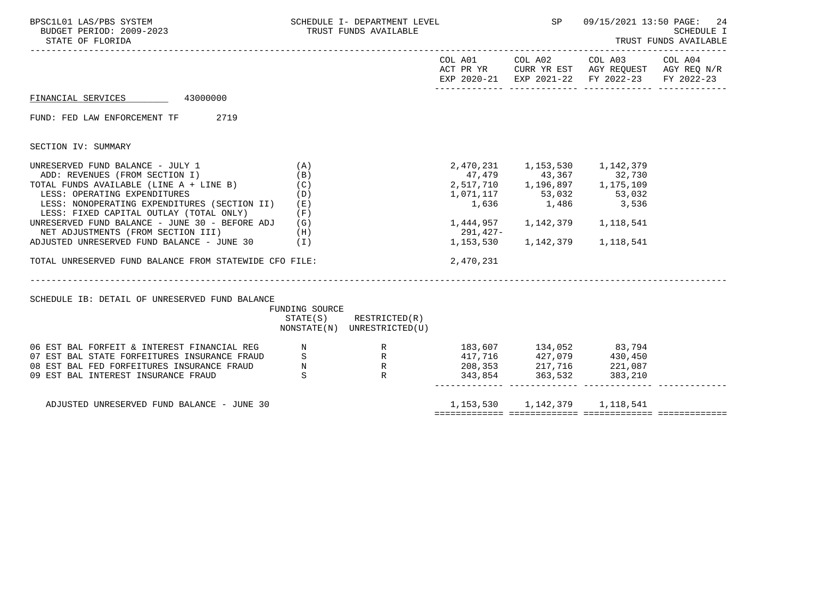| BPSC1L01 LAS/PBS SYSTEM<br>BUDGET PERIOD: 2009-2023<br>STATE OF FLORIDA                                                                                                                                                                                                                                                                                                                                                                                           |                          | SCHEDULE I- DEPARTMENT LEVEL<br>TRUST FUNDS AVAILABLE                                                                                                                               |                                                            | SP                                  | 09/15/2021 13:50 PAGE:                                                                                                                                     | 24<br><b>SCHEDULE I</b><br>TRUST FUNDS AVAILABLE |  |
|-------------------------------------------------------------------------------------------------------------------------------------------------------------------------------------------------------------------------------------------------------------------------------------------------------------------------------------------------------------------------------------------------------------------------------------------------------------------|--------------------------|-------------------------------------------------------------------------------------------------------------------------------------------------------------------------------------|------------------------------------------------------------|-------------------------------------|------------------------------------------------------------------------------------------------------------------------------------------------------------|--------------------------------------------------|--|
|                                                                                                                                                                                                                                                                                                                                                                                                                                                                   |                          |                                                                                                                                                                                     |                                                            |                                     | COL A01 COL A02 COL A03 COL A04<br>ACT PR YR $\,$ CURR YR EST $\,$ AGY REQUEST $\,$ AGY REQ $\,$ N/R $\,$<br>EXP 2020-21 EXP 2021-22 FY 2022-23 FY 2022-23 |                                                  |  |
| FINANCIAL SERVICES 43000000                                                                                                                                                                                                                                                                                                                                                                                                                                       |                          |                                                                                                                                                                                     |                                                            |                                     |                                                                                                                                                            |                                                  |  |
| FUND: FED LAW ENFORCEMENT TF 2719                                                                                                                                                                                                                                                                                                                                                                                                                                 |                          |                                                                                                                                                                                     |                                                            |                                     |                                                                                                                                                            |                                                  |  |
| SECTION IV: SUMMARY                                                                                                                                                                                                                                                                                                                                                                                                                                               |                          |                                                                                                                                                                                     |                                                            |                                     |                                                                                                                                                            |                                                  |  |
| UNRESERVED FUND BALANCE - JULY 1<br>ADD: REVENUES (FROM SECTION I)<br>TOTAL FUNDS AVAILABLE (LINE $A + LINE B$ ) (C)<br>LESS: OPERATING EXPENDITURES<br>LESS: NONOPERATING EXPENDITURES (SECTION II) (E)<br>LESS: FIXED CAPITAL OUTLAY (TOTAL ONLY)<br>UNRESERVED FUND BALANCE - JUNE 30 - BEFORE ADJ $(G)$<br>NET ADJUSTMENTS (FROM SECTION III) (H)<br>ADJUSTED UNRESERVED FUND BALANCE - JUNE 30 (I)<br>TOTAL UNRESERVED FUND BALANCE FROM STATEWIDE CFO FILE: | (A)<br>(B)<br>(D)<br>(F) | 2, 470, 231 1, 153, 530 1, 142, 379<br>47, 479 43, 367 32, 730<br>2, 517, 710 1, 196, 897 1, 175, 109<br>$2,517,710$<br>$1,196,897$<br>$1,175,109$<br>$1,636$<br>$1,636$<br>$1,636$ | 1,444,957   1,142,379   1,118,541<br>291,427-<br>2,470,231 | 1, 153, 530 1, 142, 379 1, 118, 541 |                                                                                                                                                            |                                                  |  |
| SCHEDULE IB: DETAIL OF UNRESERVED FUND BALANCE                                                                                                                                                                                                                                                                                                                                                                                                                    | FUNDING SOURCE           | $STATE(S)$ RESTRICTED $(R)$<br>NONSTATE(N) UNRESTRICTED(U)                                                                                                                          |                                                            |                                     |                                                                                                                                                            |                                                  |  |
| 06 EST BAL FORFEIT & INTEREST FINANCIAL REG<br>07 EST BAL STATE FORFEITURES INSURANCE FRAUD S<br>08 EST BAL FED FORFEITURES INSURANCE FRAUD N<br>09 EST BAL INTEREST INSURANCE FRAUD S<br>09 EST BAL INTEREST INSURANCE FRAUD S<br>209,3                                                                                                                                                                                                                          |                          |                                                                                                                                                                                     |                                                            |                                     |                                                                                                                                                            |                                                  |  |
| ADJUSTED UNRESERVED FUND BALANCE - JUNE 30                                                                                                                                                                                                                                                                                                                                                                                                                        |                          |                                                                                                                                                                                     |                                                            | 1, 153, 530 1, 142, 379 1, 118, 541 |                                                                                                                                                            |                                                  |  |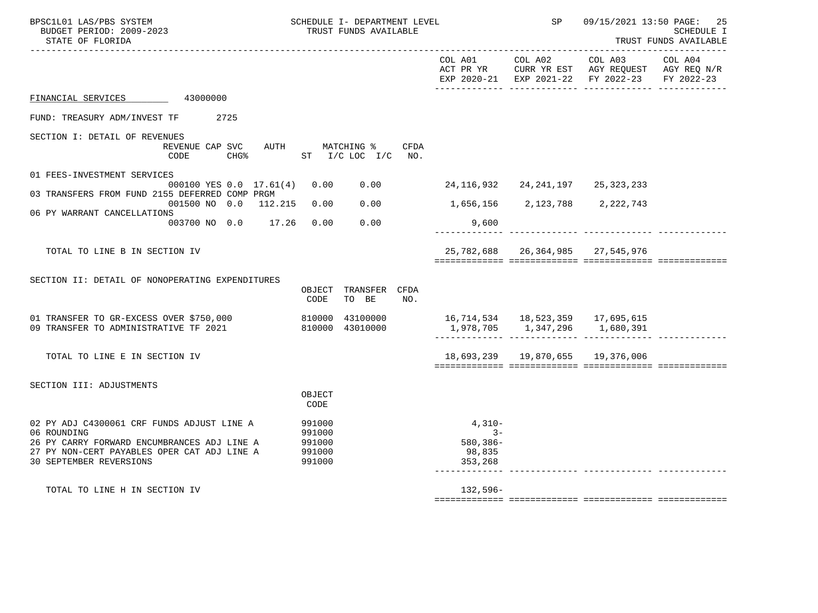| BPSC1L01 LAS/PBS SYSTEM<br>BUDGET PERIOD: 2009-2023<br>STATE OF FLORIDA             |                  | SCHEDULE I- DEPARTMENT LEVEL<br>TRUST FUNDS AVAILABLE |             |                                        | SP      | 09/15/2021 13:50 PAGE:                                                                         | -25<br><b>SCHEDULE I</b><br>TRUST FUNDS AVAILABLE |
|-------------------------------------------------------------------------------------|------------------|-------------------------------------------------------|-------------|----------------------------------------|---------|------------------------------------------------------------------------------------------------|---------------------------------------------------|
|                                                                                     |                  |                                                       |             | COL A01                                | COL A02 | COL A03<br>ACT PR YR CURR YR EST AGY REQUEST AGY REQ N/R<br>EXP 2020-21 EXP 2021-22 FY 2022-23 | COL A04<br>FY 2022-23                             |
| FINANCIAL SERVICES 43000000                                                         |                  |                                                       |             |                                        |         |                                                                                                |                                                   |
| FUND: TREASURY ADM/INVEST TF 2725                                                   |                  |                                                       |             |                                        |         |                                                                                                |                                                   |
| SECTION I: DETAIL OF REVENUES<br>REVENUE CAP SVC<br>CHG% ST I/C LOC I/C NO.<br>CODE |                  | AUTH MATCHING %                                       | <b>CFDA</b> |                                        |         |                                                                                                |                                                   |
| 01 FEES-INVESTMENT SERVICES                                                         |                  |                                                       |             |                                        |         |                                                                                                |                                                   |
| 000100 YES 0.0 17.61(4) 0.00<br>03 TRANSFERS FROM FUND 2155 DEFERRED COMP PRGM      |                  | 0.00                                                  |             | 24, 116, 932 24, 241, 197 25, 323, 233 |         |                                                                                                |                                                   |
| 001500 NO 0.0 112.215 0.00<br>06 PY WARRANT CANCELLATIONS                           |                  | 0.00                                                  |             |                                        |         | 1,656,156 2,123,788 2,222,743                                                                  |                                                   |
| 003700 NO 0.0 17.26 0.00                                                            |                  | 0.00                                                  |             | 9,600                                  |         |                                                                                                |                                                   |
| TOTAL TO LINE B IN SECTION IV                                                       |                  |                                                       |             |                                        |         | 25, 782, 688 26, 364, 985 27, 545, 976                                                         |                                                   |
| SECTION II: DETAIL OF NONOPERATING EXPENDITURES                                     |                  |                                                       |             |                                        |         |                                                                                                |                                                   |
|                                                                                     | CODE             | OBJECT TRANSFER CFDA<br>TO BE                         | NO.         |                                        |         |                                                                                                |                                                   |
| 01 TRANSFER TO GR-EXCESS OVER \$750,000 810000 43100000                             |                  |                                                       |             |                                        |         |                                                                                                |                                                   |
| 09 TRANSFER TO ADMINISTRATIVE TF 2021                                               |                  | 810000 43010000                                       |             |                                        |         | 1,978,705    1,347,296    1,680,391                                                            |                                                   |
| TOTAL TO LINE E IN SECTION IV                                                       |                  |                                                       |             |                                        |         | 18,693,239   19,870,655   19,376,006                                                           |                                                   |
| SECTION III: ADJUSTMENTS                                                            |                  |                                                       |             |                                        |         |                                                                                                |                                                   |
|                                                                                     | OBJECT<br>CODE   |                                                       |             |                                        |         |                                                                                                |                                                   |
| 02 PY ADJ C4300061 CRF FUNDS ADJUST LINE A                                          | 991000           |                                                       |             | $4,310-$                               |         |                                                                                                |                                                   |
| 06 ROUNDING<br>26 PY CARRY FORWARD ENCUMBRANCES ADJ LINE A                          | 991000<br>991000 |                                                       |             | $3-$<br>$580, 386 -$                   |         |                                                                                                |                                                   |
| 27 PY NON-CERT PAYABLES OPER CAT ADJ LINE A<br><b>30 SEPTEMBER REVERSIONS</b>       | 991000<br>991000 |                                                       |             | 98,835<br>353,268                      |         |                                                                                                |                                                   |
| TOTAL TO LINE H IN SECTION IV                                                       |                  |                                                       |             | $132,596-$                             |         |                                                                                                |                                                   |
|                                                                                     |                  |                                                       |             |                                        |         |                                                                                                |                                                   |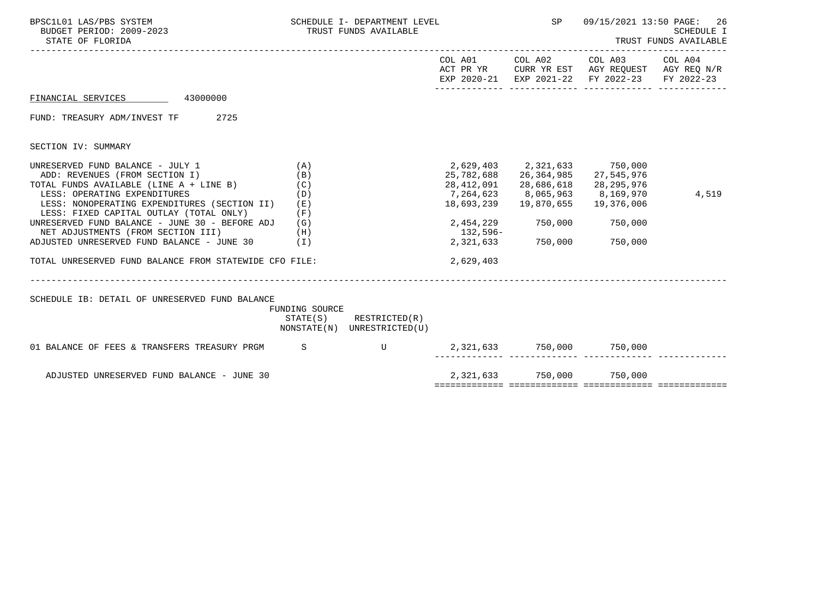| BPSC1L01 LAS/PBS SYSTEM<br>BUDGET PERIOD: 2009-2023<br>STATE OF FLORIDA                                                                                                                                                                                                                                                                                                                                                                          |                                                 | SCHEDULE I- DEPARTMENT LEVEL<br>TRUST FUNDS AVAILABLE |                                                  | SP                                                                                                                                     | 09/15/2021 13:50 PAGE:                                                                         | 26<br><b>SCHEDULE I</b><br>TRUST FUNDS AVAILABLE |
|--------------------------------------------------------------------------------------------------------------------------------------------------------------------------------------------------------------------------------------------------------------------------------------------------------------------------------------------------------------------------------------------------------------------------------------------------|-------------------------------------------------|-------------------------------------------------------|--------------------------------------------------|----------------------------------------------------------------------------------------------------------------------------------------|------------------------------------------------------------------------------------------------|--------------------------------------------------|
|                                                                                                                                                                                                                                                                                                                                                                                                                                                  |                                                 |                                                       |                                                  | COL A01 COL A02                                                                                                                        | COL A03<br>ACT PR YR CURR YR EST AGY REQUEST AGY REQ N/R<br>EXP 2020-21 EXP 2021-22 FY 2022-23 | COL A04<br>FY 2022-23                            |
| FINANCIAL SERVICES 43000000                                                                                                                                                                                                                                                                                                                                                                                                                      |                                                 |                                                       |                                                  |                                                                                                                                        |                                                                                                |                                                  |
| FUND: TREASURY ADM/INVEST TF 2725                                                                                                                                                                                                                                                                                                                                                                                                                |                                                 |                                                       |                                                  |                                                                                                                                        |                                                                                                |                                                  |
| SECTION IV: SUMMARY                                                                                                                                                                                                                                                                                                                                                                                                                              |                                                 |                                                       |                                                  |                                                                                                                                        |                                                                                                |                                                  |
| UNRESERVED FUND BALANCE - JULY 1<br>ADD: REVENUES (FROM SECTION I)<br>TOTAL FUNDS AVAILABLE (LINE A + LINE B)<br>LESS: OPERATING EXPENDITURES<br>LESS: NONOPERATING EXPENDITURES (SECTION II)<br>LESS: FIXED CAPITAL OUTLAY (TOTAL ONLY)<br>UNRESERVED FUND BALANCE - JUNE 30 - BEFORE ADJ (G)<br>NET ADJUSTMENTS (FROM SECTION III)<br>ADJUSTED UNRESERVED FUND BALANCE - JUNE 30 (I)<br>TOTAL UNRESERVED FUND BALANCE FROM STATEWIDE CFO FILE: | (A)<br>(B)<br>(C)<br>(D)<br>( E )<br>(F)<br>(H) |                                                       | 18,693,239<br>132,596-<br>2,321,633<br>2,629,403 | 2,629,403 2,321,633 750,000<br>25,782,688 26,364,985 27,545,976<br>28,412,091 28,686,618<br>19,870,655<br>2,454,229 750,000<br>750,000 | 28,295,976<br>7,264,623 8,065,963 8,169,970<br>19,376,006<br>750,000<br>750,000                | 4,519                                            |
|                                                                                                                                                                                                                                                                                                                                                                                                                                                  |                                                 |                                                       |                                                  |                                                                                                                                        |                                                                                                |                                                  |
| SCHEDULE IB: DETAIL OF UNRESERVED FUND BALANCE                                                                                                                                                                                                                                                                                                                                                                                                   | FUNDING SOURCE<br>STATE(S)                      | RESTRICTED(R)<br>NONSTATE(N) UNRESTRICTED(U)          |                                                  |                                                                                                                                        |                                                                                                |                                                  |
| 01 BALANCE OF FEES & TRANSFERS TREASURY PRGM S                                                                                                                                                                                                                                                                                                                                                                                                   |                                                 | $\mathbf{U}$                                          |                                                  |                                                                                                                                        | 2,321,633 750,000 750,000                                                                      |                                                  |
| ADJUSTED UNRESERVED FUND BALANCE - JUNE 30                                                                                                                                                                                                                                                                                                                                                                                                       |                                                 |                                                       |                                                  |                                                                                                                                        | 2,321,633 750,000 750,000                                                                      |                                                  |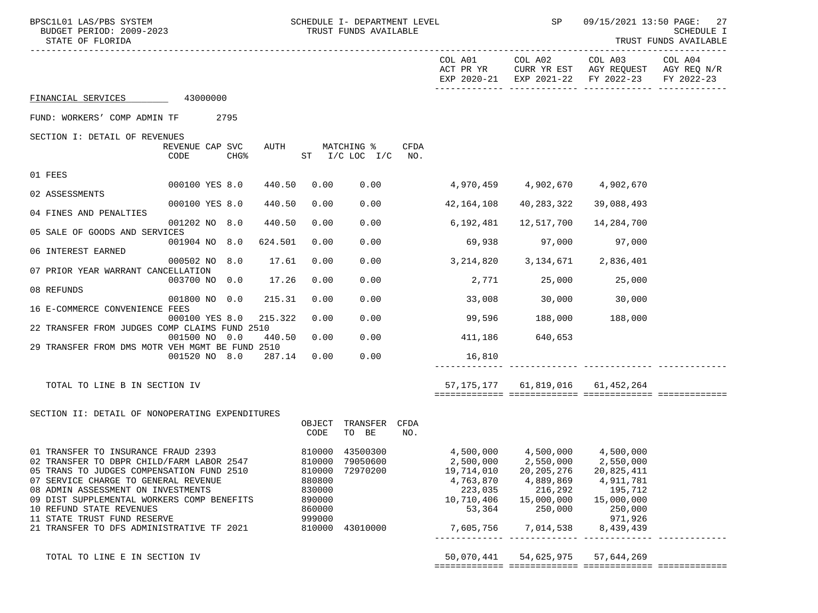| BPSC1L01 LAS/PBS SYSTEM<br>BUDGET PERIOD: 2009-2023<br>STATE OF FLORIDA                                                                                                                                                                                                                                                                                           |                                                          | SCHEDULE I- DEPARTMENT LEVEL<br>TRUST FUNDS AVAILABLE             |             |                                                                                                                | SP                                                                         |                                                                                                                      | 09/15/2021 13:50 PAGE: 27<br>SCHEDULE I<br>TRUST FUNDS AVAILABLE |
|-------------------------------------------------------------------------------------------------------------------------------------------------------------------------------------------------------------------------------------------------------------------------------------------------------------------------------------------------------------------|----------------------------------------------------------|-------------------------------------------------------------------|-------------|----------------------------------------------------------------------------------------------------------------|----------------------------------------------------------------------------|----------------------------------------------------------------------------------------------------------------------|------------------------------------------------------------------|
| ----------------------------                                                                                                                                                                                                                                                                                                                                      |                                                          |                                                                   |             | COL A01<br>ACT PR YR                                                                                           | COL A02<br>EXP 2020-21 EXP 2021-22                                         | COL A03 COL A04<br>CURR YR EST AGY REQUEST AGY REQ N/R<br>FY 2022-23                                                 | . _ _ _ _ _ _ _ _ _ _ _<br>FY 2022-23                            |
| FINANCIAL SERVICES 43000000                                                                                                                                                                                                                                                                                                                                       |                                                          |                                                                   |             |                                                                                                                |                                                                            |                                                                                                                      |                                                                  |
| FUND: WORKERS' COMP ADMIN TF<br>2795                                                                                                                                                                                                                                                                                                                              |                                                          |                                                                   |             |                                                                                                                |                                                                            |                                                                                                                      |                                                                  |
| SECTION I: DETAIL OF REVENUES                                                                                                                                                                                                                                                                                                                                     |                                                          |                                                                   |             |                                                                                                                |                                                                            |                                                                                                                      |                                                                  |
| REVENUE CAP SVC<br>AUTH<br>CODE<br><b>CHG&amp;</b>                                                                                                                                                                                                                                                                                                                |                                                          | MATCHING %<br>ST I/C LOC I/C                                      | CFDA<br>NO. |                                                                                                                |                                                                            |                                                                                                                      |                                                                  |
| 01 FEES                                                                                                                                                                                                                                                                                                                                                           |                                                          |                                                                   |             |                                                                                                                |                                                                            |                                                                                                                      |                                                                  |
| 000100 YES 8.0<br>440.50<br>02 ASSESSMENTS                                                                                                                                                                                                                                                                                                                        | 0.00                                                     | 0.00                                                              |             |                                                                                                                | 4,970,459 4,902,670 4,902,670                                              |                                                                                                                      |                                                                  |
| 000100 YES 8.0<br>440.50<br>04 FINES AND PENALTIES                                                                                                                                                                                                                                                                                                                | 0.00                                                     | 0.00                                                              |             | 42,164,108                                                                                                     | 40,283,322                                                                 | 39,088,493                                                                                                           |                                                                  |
| 001202 NO 8.0<br>440.50<br>05 SALE OF GOODS AND SERVICES                                                                                                                                                                                                                                                                                                          | 0.00                                                     | 0.00                                                              |             | 6,192,481                                                                                                      | 12,517,700                                                                 | 14,284,700                                                                                                           |                                                                  |
| 001904 NO 8.0<br>624.501<br>06 INTEREST EARNED                                                                                                                                                                                                                                                                                                                    | 0.00                                                     | 0.00                                                              |             | 69,938                                                                                                         | 97,000                                                                     | 97,000                                                                                                               |                                                                  |
| 000502 NO 8.0<br>17.61                                                                                                                                                                                                                                                                                                                                            | 0.00                                                     | 0.00                                                              |             | 3,214,820                                                                                                      | 3,134,671 2,836,401                                                        |                                                                                                                      |                                                                  |
| 07 PRIOR YEAR WARRANT CANCELLATION<br>17.26<br>003700 NO 0.0                                                                                                                                                                                                                                                                                                      | 0.00                                                     | 0.00                                                              |             | 2,771                                                                                                          | 25,000                                                                     | 25,000                                                                                                               |                                                                  |
| 08 REFUNDS<br>001800 NO 0.0<br>215.31                                                                                                                                                                                                                                                                                                                             | 0.00                                                     | 0.00                                                              |             | 33,008                                                                                                         | 30,000                                                                     | 30,000                                                                                                               |                                                                  |
| 16 E-COMMERCE CONVENIENCE FEES<br>000100 YES 8.0<br>215.322                                                                                                                                                                                                                                                                                                       | 0.00                                                     | 0.00                                                              |             | 99,596                                                                                                         | 188,000                                                                    | 188,000                                                                                                              |                                                                  |
| 22 TRANSFER FROM JUDGES COMP CLAIMS FUND 2510                                                                                                                                                                                                                                                                                                                     |                                                          |                                                                   |             |                                                                                                                |                                                                            |                                                                                                                      |                                                                  |
| 001500 NO 0.0<br>440.50<br>29 TRANSFER FROM DMS MOTR VEH MGMT BE FUND 2510                                                                                                                                                                                                                                                                                        | 0.00                                                     | 0.00                                                              |             | 411,186                                                                                                        | 640,653                                                                    |                                                                                                                      |                                                                  |
| 001520 NO 8.0<br>287.14                                                                                                                                                                                                                                                                                                                                           | 0.00                                                     | 0.00                                                              |             | 16,810                                                                                                         |                                                                            |                                                                                                                      |                                                                  |
| TOTAL TO LINE B IN SECTION IV                                                                                                                                                                                                                                                                                                                                     |                                                          |                                                                   |             |                                                                                                                | 57, 175, 177 61, 819, 016 61, 452, 264                                     |                                                                                                                      |                                                                  |
| SECTION II: DETAIL OF NONOPERATING EXPENDITURES                                                                                                                                                                                                                                                                                                                   | OBJECT<br>CODE                                           | TRANSFER CFDA<br>TO BE                                            | NO.         |                                                                                                                |                                                                            |                                                                                                                      |                                                                  |
| 01 TRANSFER TO INSURANCE FRAUD 2393<br>02 TRANSFER TO DBPR CHILD/FARM LABOR 2547<br>05 TRANS TO JUDGES COMPENSATION FUND 2510<br>07 SERVICE CHARGE TO GENERAL REVENUE<br>08 ADMIN ASSESSMENT ON INVESTMENTS<br>09 DIST SUPPLEMENTAL WORKERS COMP BENEFITS<br>10 REFUND STATE REVENUES<br>11 STATE TRUST FUND RESERVE<br>21 TRANSFER TO DFS ADMINISTRATIVE TF 2021 | 810000<br>880800<br>830000<br>890000<br>860000<br>999000 | 810000 43500300<br>810000 79050600<br>72970200<br>810000 43010000 |             | $4,500,000$ $4,500,000$ $4,500,000$<br>19,714,010<br>4,763,870<br>223,035<br>10,710,406<br>53,364<br>7,605,756 | 20, 205, 276<br>4,889,869<br>216,292<br>15,000,000<br>250,000<br>7,014,538 | 2,500,000 2,550,000 2,550,000<br>20,825,411<br>4,911,781<br>195,712<br>15,000,000<br>250,000<br>971,926<br>8,439,439 |                                                                  |
| TOTAL TO LINE E IN SECTION IV                                                                                                                                                                                                                                                                                                                                     |                                                          |                                                                   |             | 50,070,441                                                                                                     | 54,625,975                                                                 | 57,644,269                                                                                                           |                                                                  |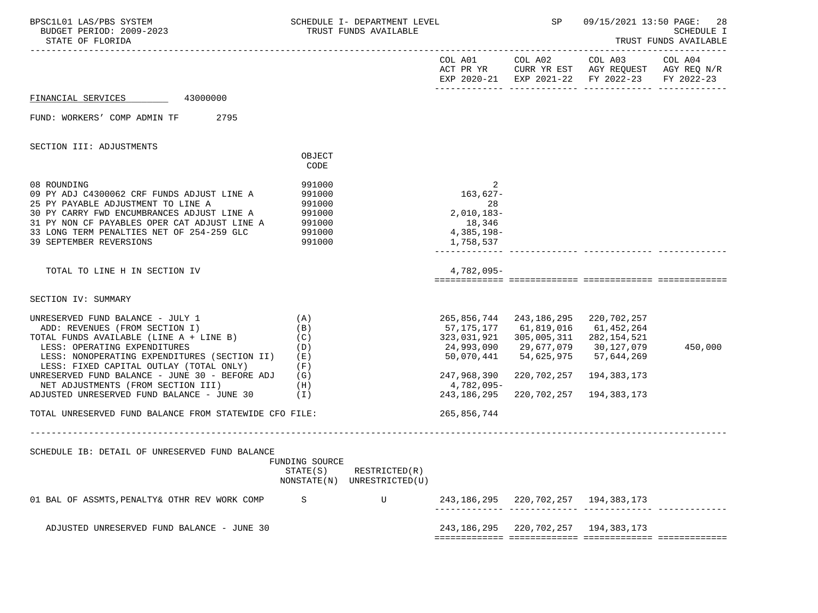| BPSC1L01 LAS/PBS SYSTEM<br>BUDGET PERIOD: 2009-2023<br>STATE OF FLORIDA                                                                                                                                                                                                                        |                                                          | SCHEDULE I- DEPARTMENT LEVEL<br>TRUST FUNDS AVAILABLE |                                                                          | SP                                                                                                                                  | 09/15/2021 13:50 PAGE:                                                                                                            | 28<br>SCHEDULE I<br>TRUST FUNDS AVAILABLE |
|------------------------------------------------------------------------------------------------------------------------------------------------------------------------------------------------------------------------------------------------------------------------------------------------|----------------------------------------------------------|-------------------------------------------------------|--------------------------------------------------------------------------|-------------------------------------------------------------------------------------------------------------------------------------|-----------------------------------------------------------------------------------------------------------------------------------|-------------------------------------------|
|                                                                                                                                                                                                                                                                                                |                                                          |                                                       |                                                                          |                                                                                                                                     | COL A01 COL A02 COL A03 COL A04<br>ACT PR YR CURR YR EST AGY REQUEST AGY REQ N/R<br>EXP 2020-21 EXP 2021-22 FY 2022-23 FY 2022-23 |                                           |
| 43000000<br>FINANCIAL SERVICES                                                                                                                                                                                                                                                                 |                                                          |                                                       |                                                                          |                                                                                                                                     |                                                                                                                                   |                                           |
| FUND: WORKERS' COMP ADMIN TF<br>2795                                                                                                                                                                                                                                                           |                                                          |                                                       |                                                                          |                                                                                                                                     |                                                                                                                                   |                                           |
| SECTION III: ADJUSTMENTS                                                                                                                                                                                                                                                                       |                                                          |                                                       |                                                                          |                                                                                                                                     |                                                                                                                                   |                                           |
|                                                                                                                                                                                                                                                                                                | OBJECT<br>CODE                                           |                                                       |                                                                          |                                                                                                                                     |                                                                                                                                   |                                           |
| 08 ROUNDING<br>09 PY ADJ C4300062 CRF FUNDS ADJUST LINE A<br>25 PY PAYABLE ADJUSTMENT TO LINE A<br>30 PY CARRY FWD ENCUMBRANCES ADJUST LINE A<br>31 PY NON CF PAYABLES OPER CAT ADJUST LINE A 991000<br>33 LONG TERM PENALTIES NET OF 254-259 GLC<br><b>39 SEPTEMBER REVERSIONS</b>            | 991000<br>991000<br>991000<br>991000<br>991000<br>991000 |                                                       | 2<br>163,627-<br>28<br>$2,010,183-$<br>18,346<br>4,385,198-<br>1,758,537 |                                                                                                                                     |                                                                                                                                   |                                           |
| TOTAL TO LINE H IN SECTION IV                                                                                                                                                                                                                                                                  |                                                          |                                                       | 4,782,095-                                                               |                                                                                                                                     |                                                                                                                                   |                                           |
| SECTION IV: SUMMARY                                                                                                                                                                                                                                                                            |                                                          |                                                       |                                                                          |                                                                                                                                     |                                                                                                                                   |                                           |
| UNRESERVED FUND BALANCE - JULY 1<br>ADD: REVENUES (FROM SECTION I)<br>TOTAL FUNDS AVAILABLE (LINE A + LINE B)<br>LESS: OPERATING EXPENDITURES<br>LESS: NONOPERATING EXPENDITURES (SECTION II)<br>LESS: FIXED CAPITAL OUTLAY (TOTAL ONLY)<br>UNRESERVED FUND BALANCE - JUNE 30 - BEFORE ADJ (G) | (A)<br>(B)<br>(C)<br>(D)<br>(E)<br>(F)                   |                                                       | 57,175,177<br>323,031,921<br>24,993,090<br>50,070,441<br>247,968,390     | 265,856,744 243,186,295 220,702,257<br>61,819,016<br>305,005,311<br>29,677,079   30,127,079<br>54,625,975 57,644,269<br>220,702,257 | 61,452,264<br>282,154,521<br>194,383,173                                                                                          | 450,000                                   |
| NET ADJUSTMENTS (FROM SECTION III)<br>ADJUSTED UNRESERVED FUND BALANCE - JUNE 30 $(1)$                                                                                                                                                                                                         | (H)                                                      |                                                       | 4,782,095-<br>243,186,295                                                |                                                                                                                                     | 220, 702, 257 194, 383, 173                                                                                                       |                                           |
| TOTAL UNRESERVED FUND BALANCE FROM STATEWIDE CFO FILE:                                                                                                                                                                                                                                         |                                                          |                                                       | 265,856,744                                                              |                                                                                                                                     |                                                                                                                                   |                                           |
| SCHEDULE IB: DETAIL OF UNRESERVED FUND BALANCE                                                                                                                                                                                                                                                 | FUNDING SOURCE<br>STATE(S)                               | RESTRICTED(R)<br>NONSTATE(N) UNRESTRICTED(U)          |                                                                          |                                                                                                                                     |                                                                                                                                   |                                           |
| 01 BAL OF ASSMTS, PENALTY& OTHR REV WORK COMP                                                                                                                                                                                                                                                  | S                                                        | U                                                     |                                                                          | 243, 186, 295 220, 702, 257 194, 383, 173                                                                                           |                                                                                                                                   |                                           |
| ADJUSTED UNRESERVED FUND BALANCE - JUNE 30                                                                                                                                                                                                                                                     |                                                          |                                                       |                                                                          | 243, 186, 295 220, 702, 257 194, 383, 173                                                                                           |                                                                                                                                   |                                           |
|                                                                                                                                                                                                                                                                                                |                                                          |                                                       |                                                                          |                                                                                                                                     |                                                                                                                                   |                                           |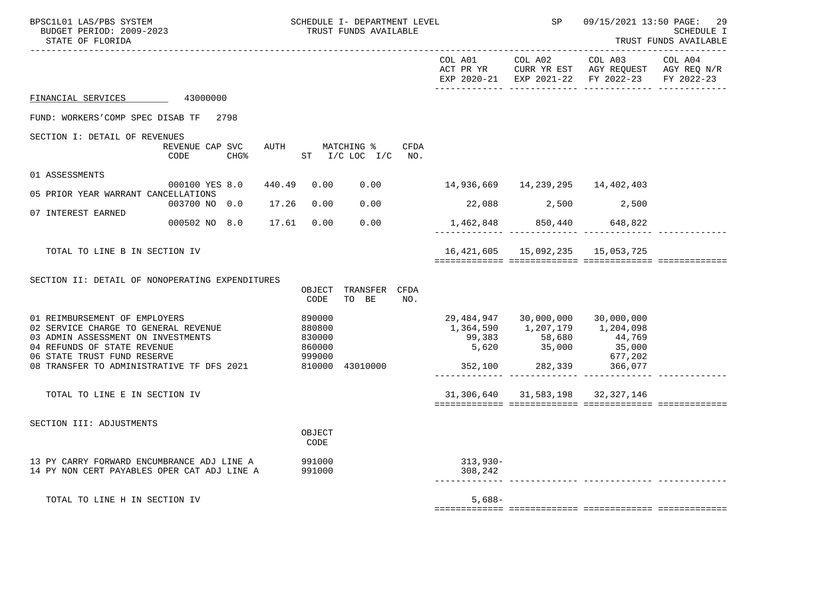| BPSC1L01 LAS/PBS SYSTEM<br>BUDGET PERIOD: 2009-2023<br>STATE OF FLORIDA                                                                                                   |       |                                                | SCHEDULE I- DEPARTMENT LEVEL<br>TRUST FUNDS AVAILABLE |      |                                    | SP                                                                                                            | 09/15/2021 13:50 PAGE:                                                                                                             | 29<br><b>SCHEDULE I</b><br>TRUST FUNDS AVAILABLE<br>------------ |
|---------------------------------------------------------------------------------------------------------------------------------------------------------------------------|-------|------------------------------------------------|-------------------------------------------------------|------|------------------------------------|---------------------------------------------------------------------------------------------------------------|------------------------------------------------------------------------------------------------------------------------------------|------------------------------------------------------------------|
|                                                                                                                                                                           |       |                                                |                                                       |      |                                    |                                                                                                               | COL A01 COL A02 COL A03<br>ACT PR YR $\,$ CURR YR EST $\,$ AGY REQUEST $\,$ AGY REQ N/R $\,$<br>EXP 2020-21 EXP 2021-22 FY 2022-23 | COL A04<br>FY 2022-23                                            |
| FINANCIAL SERVICES 43000000                                                                                                                                               |       |                                                |                                                       |      |                                    |                                                                                                               |                                                                                                                                    |                                                                  |
| FUND: WORKERS'COMP SPEC DISAB TF 2798                                                                                                                                     |       |                                                |                                                       |      |                                    |                                                                                                               |                                                                                                                                    |                                                                  |
| SECTION I: DETAIL OF REVENUES<br>REVENUE CAP SVC<br>CHG <sup>8</sup><br>CODE                                                                                              |       |                                                | AUTH MATCHING %<br>ST I/C LOC I/C NO.                 | CFDA |                                    |                                                                                                               |                                                                                                                                    |                                                                  |
| 01 ASSESSMENTS<br>000100 YES 8.0                                                                                                                                          |       | 440.49 0.00                                    | 0.00                                                  |      | 14,936,669  14,239,295  14,402,403 |                                                                                                               |                                                                                                                                    |                                                                  |
| 05 PRIOR YEAR WARRANT CANCELLATIONS<br>003700 NO 0.0                                                                                                                      | 17.26 | 0.00                                           | 0.00                                                  |      |                                    | 22,088 2,500 2,500                                                                                            |                                                                                                                                    |                                                                  |
| 07 INTEREST EARNED<br>000502 NO 8.0 17.61 0.00                                                                                                                            |       |                                                | 0.00                                                  |      |                                    | 1,462,848 850,440 648,822                                                                                     |                                                                                                                                    |                                                                  |
|                                                                                                                                                                           |       |                                                |                                                       |      |                                    |                                                                                                               |                                                                                                                                    |                                                                  |
| TOTAL TO LINE B IN SECTION IV                                                                                                                                             |       |                                                |                                                       |      |                                    | 16, 421, 605  15, 092, 235  15, 053, 725                                                                      |                                                                                                                                    |                                                                  |
| SECTION II: DETAIL OF NONOPERATING EXPENDITURES                                                                                                                           |       | CODE                                           | OBJECT TRANSFER CFDA<br>TO BE                         | NO.  |                                    |                                                                                                               |                                                                                                                                    |                                                                  |
| 01 REIMBURSEMENT OF EMPLOYERS<br>02 SERVICE CHARGE TO GENERAL REVENUE<br>03 ADMIN ASSESSMENT ON INVESTMENTS<br>04 REFUNDS OF STATE REVENUE<br>06 STATE TRUST FUND RESERVE |       | 890000<br>880800<br>830000<br>860000<br>999000 |                                                       |      |                                    | 29,484,947 30,000,000 30,000,000<br>1,364,590   1,207,179   1,204,098<br>$99,383$<br>5,620<br>5,620<br>35,000 | 44,769<br>35,000<br>677,202                                                                                                        |                                                                  |
| 08 TRANSFER TO ADMINISTRATIVE TF DFS 2021 810000 43010000                                                                                                                 |       |                                                |                                                       |      | 352,100 282,339 366,077            |                                                                                                               |                                                                                                                                    |                                                                  |
| TOTAL TO LINE E IN SECTION IV                                                                                                                                             |       |                                                |                                                       |      |                                    | 31, 306, 640 31, 583, 198 32, 327, 146                                                                        |                                                                                                                                    |                                                                  |
| SECTION III: ADJUSTMENTS                                                                                                                                                  |       | OBJECT<br>CODE                                 |                                                       |      |                                    |                                                                                                               |                                                                                                                                    |                                                                  |
| 13 PY CARRY FORWARD ENCUMBRANCE ADJ LINE A<br>14 PY NON CERT PAYABLES OPER CAT ADJ LINE A                                                                                 |       | 991000<br>991000                               |                                                       |      | 313,930-<br>308,242                |                                                                                                               |                                                                                                                                    |                                                                  |
| TOTAL TO LINE H IN SECTION IV                                                                                                                                             |       |                                                |                                                       |      | $5,688-$                           |                                                                                                               |                                                                                                                                    |                                                                  |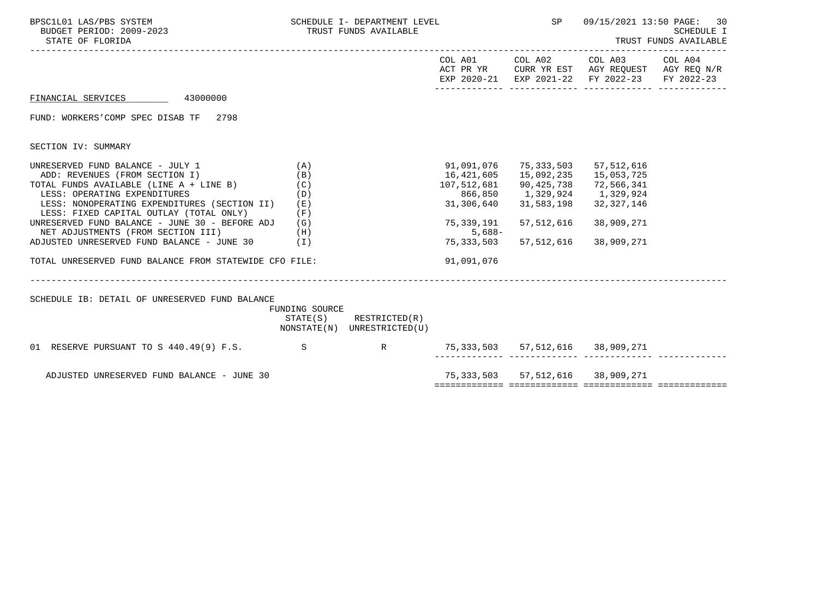| BPSC1L01 LAS/PBS SYSTEM<br>BUDGET PERIOD: 2009-2023<br>STATE OF FLORIDA                                                                                                                                                                                                                                                                                                                                                                                       | SCHEDULE I- DEPARTMENT LEVEL<br>TRUST FUNDS AVAILABLE |                                                            | SP                                                                           | 09/15/2021 13:50 PAGE:<br>30<br>SCHEDULE I<br>TRUST FUNDS AVAILABLE                                                                                    |                                                                                                        |            |
|---------------------------------------------------------------------------------------------------------------------------------------------------------------------------------------------------------------------------------------------------------------------------------------------------------------------------------------------------------------------------------------------------------------------------------------------------------------|-------------------------------------------------------|------------------------------------------------------------|------------------------------------------------------------------------------|--------------------------------------------------------------------------------------------------------------------------------------------------------|--------------------------------------------------------------------------------------------------------|------------|
|                                                                                                                                                                                                                                                                                                                                                                                                                                                               |                                                       |                                                            |                                                                              | COL A01 COL A02                                                                                                                                        | COL A03 COL A04<br>ACT PR YR CURR YR EST AGY REQUEST AGY REQ N/R<br>EXP 2020-21 EXP 2021-22 FY 2022-23 | FY 2022-23 |
| FINANCIAL SERVICES 43000000                                                                                                                                                                                                                                                                                                                                                                                                                                   |                                                       |                                                            |                                                                              |                                                                                                                                                        |                                                                                                        |            |
| FUND: WORKERS'COMP SPEC DISAB TF 2798                                                                                                                                                                                                                                                                                                                                                                                                                         |                                                       |                                                            |                                                                              |                                                                                                                                                        |                                                                                                        |            |
| SECTION IV: SUMMARY                                                                                                                                                                                                                                                                                                                                                                                                                                           |                                                       |                                                            |                                                                              |                                                                                                                                                        |                                                                                                        |            |
| UNRESERVED FUND BALANCE - JULY 1<br>ADD: REVENUES (FROM SECTION I)<br>TOTAL FUNDS AVAILABLE (LINE A + LINE B)<br>LESS: OPERATING EXPENDITURES<br>LESS: NONOPERATING EXPENDITURES (SECTION II) (E)<br>LESS: FIXED CAPITAL OUTLAY (TOTAL ONLY)<br>UNRESERVED FUND BALANCE - JUNE 30 - BEFORE ADJ (G)<br>NET ADJUSTMENTS (FROM SECTION III)<br>(H)<br>ADJUSTED UNRESERVED FUND BALANCE - JUNE 30 $(1)$<br>TOTAL UNRESERVED FUND BALANCE FROM STATEWIDE CFO FILE: | (A)<br>(B)<br>(C)<br>(D)<br>(F)                       |                                                            | 107,512,681<br>866,850<br>31,306,640<br>75,339,191<br>$5,688-$<br>91,091,076 | 91,091,076 75,333,503 57,512,616<br>16,421,605  15,092,235  15,053,725<br>90,425,738<br>1,329,924<br>31,583,198<br>57,512,616<br>75,333,503 57,512,616 | 72,566,341<br>1,329,924<br>32, 327, 146<br>38,909,271<br>38,909,271                                    |            |
| SCHEDULE IB: DETAIL OF UNRESERVED FUND BALANCE                                                                                                                                                                                                                                                                                                                                                                                                                | FUNDING SOURCE                                        | $STATE(S)$ RESTRICTED $(R)$<br>NONSTATE(N) UNRESTRICTED(U) |                                                                              |                                                                                                                                                        |                                                                                                        |            |
| 01 RESERVE PURSUANT TO S 440.49(9) F.S. S S R                                                                                                                                                                                                                                                                                                                                                                                                                 |                                                       |                                                            | 75,333,503 57,512,616 38,909,271                                             |                                                                                                                                                        |                                                                                                        |            |
| ADJUSTED UNRESERVED FUND BALANCE - JUNE 30                                                                                                                                                                                                                                                                                                                                                                                                                    |                                                       |                                                            |                                                                              |                                                                                                                                                        | 75, 333, 503 57, 512, 616 38, 909, 271                                                                 |            |